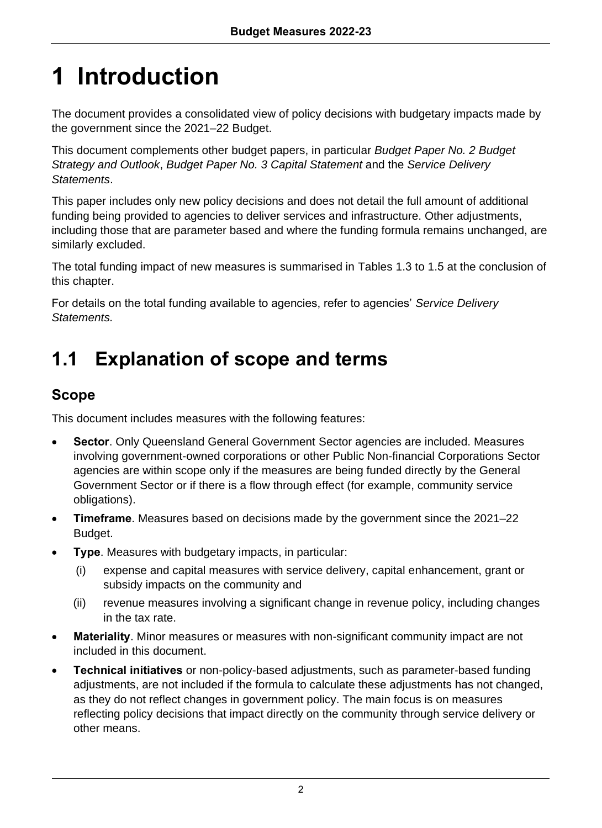# **1 Introduction**

The document provides a consolidated view of policy decisions with budgetary impacts made by the government since the 2021–22 Budget.

This document complements other budget papers, in particular *Budget Paper No. 2 Budget Strategy and Outlook*, *Budget Paper No. 3 Capital Statement* and the *Service Delivery Statements*.

This paper includes only new policy decisions and does not detail the full amount of additional funding being provided to agencies to deliver services and infrastructure. Other adjustments, including those that are parameter based and where the funding formula remains unchanged, are similarly excluded.

The total funding impact of new measures is summarised in Tables 1.3 to 1.5 at the conclusion of this chapter.

For details on the total funding available to agencies, refer to agencies' *Service Delivery Statements.*

# **1.1 Explanation of scope and terms**

# **Scope**

This document includes measures with the following features:

- **Sector**. Only Queensland General Government Sector agencies are included. Measures involving government-owned corporations or other Public Non-financial Corporations Sector agencies are within scope only if the measures are being funded directly by the General Government Sector or if there is a flow through effect (for example, community service obligations).
- **Timeframe**. Measures based on decisions made by the government since the 2021–22 Budget.
- **Type**. Measures with budgetary impacts, in particular:
	- (i) expense and capital measures with service delivery, capital enhancement, grant or subsidy impacts on the community and
	- (ii) revenue measures involving a significant change in revenue policy, including changes in the tax rate.
- **Materiality**. Minor measures or measures with non-significant community impact are not included in this document.
- **Technical initiatives** or non-policy-based adjustments, such as parameter-based funding adjustments, are not included if the formula to calculate these adjustments has not changed, as they do not reflect changes in government policy. The main focus is on measures reflecting policy decisions that impact directly on the community through service delivery or other means.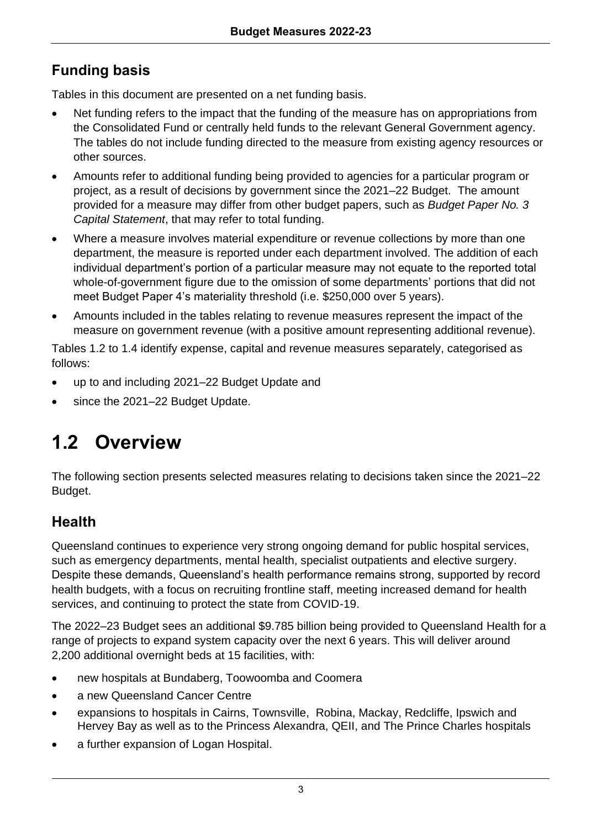# **Funding basis**

Tables in this document are presented on a net funding basis.

- Net funding refers to the impact that the funding of the measure has on appropriations from the Consolidated Fund or centrally held funds to the relevant General Government agency. The tables do not include funding directed to the measure from existing agency resources or other sources.
- Amounts refer to additional funding being provided to agencies for a particular program or project, as a result of decisions by government since the 2021–22 Budget. The amount provided for a measure may differ from other budget papers, such as *Budget Paper No. 3 Capital Statement*, that may refer to total funding.
- Where a measure involves material expenditure or revenue collections by more than one department, the measure is reported under each department involved. The addition of each individual department's portion of a particular measure may not equate to the reported total whole-of-government figure due to the omission of some departments' portions that did not meet Budget Paper 4's materiality threshold (i.e. \$250,000 over 5 years).
- Amounts included in the tables relating to revenue measures represent the impact of the measure on government revenue (with a positive amount representing additional revenue).

Tables 1.2 to 1.4 identify expense, capital and revenue measures separately, categorised as follows:

- up to and including 2021–22 Budget Update and
- since the 2021-22 Budget Update.

# **1.2 Overview**

The following section presents selected measures relating to decisions taken since the 2021–22 Budget.

# **Health**

Queensland continues to experience very strong ongoing demand for public hospital services, such as emergency departments, mental health, specialist outpatients and elective surgery. Despite these demands, Queensland's health performance remains strong, supported by record health budgets, with a focus on recruiting frontline staff, meeting increased demand for health services, and continuing to protect the state from COVID-19.

The 2022–23 Budget sees an additional \$9.785 billion being provided to Queensland Health for a range of projects to expand system capacity over the next 6 years. This will deliver around 2,200 additional overnight beds at 15 facilities, with:

- new hospitals at Bundaberg, Toowoomba and Coomera
- a new Queensland Cancer Centre
- expansions to hospitals in Cairns, Townsville, Robina, Mackay, Redcliffe, Ipswich and Hervey Bay as well as to the Princess Alexandra, QEII, and The Prince Charles hospitals
- a further expansion of Logan Hospital.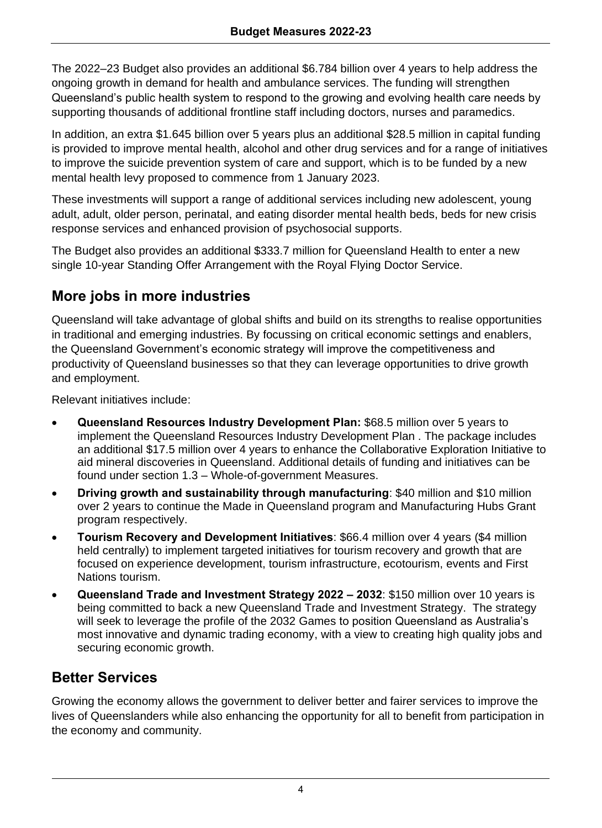The 2022–23 Budget also provides an additional \$6.784 billion over 4 years to help address the ongoing growth in demand for health and ambulance services. The funding will strengthen Queensland's public health system to respond to the growing and evolving health care needs by supporting thousands of additional frontline staff including doctors, nurses and paramedics.

In addition, an extra \$1.645 billion over 5 years plus an additional \$28.5 million in capital funding is provided to improve mental health, alcohol and other drug services and for a range of initiatives to improve the suicide prevention system of care and support, which is to be funded by a new mental health levy proposed to commence from 1 January 2023.

These investments will support a range of additional services including new adolescent, young adult, adult, older person, perinatal, and eating disorder mental health beds, beds for new crisis response services and enhanced provision of psychosocial supports.

The Budget also provides an additional \$333.7 million for Queensland Health to enter a new single 10-year Standing Offer Arrangement with the Royal Flying Doctor Service.

# **More jobs in more industries**

Queensland will take advantage of global shifts and build on its strengths to realise opportunities in traditional and emerging industries. By focussing on critical economic settings and enablers, the Queensland Government's economic strategy will improve the competitiveness and productivity of Queensland businesses so that they can leverage opportunities to drive growth and employment.

Relevant initiatives include:

- **Queensland Resources Industry Development Plan:** \$68.5 million over 5 years to implement the Queensland Resources Industry Development Plan . The package includes an additional \$17.5 million over 4 years to enhance the Collaborative Exploration Initiative to aid mineral discoveries in Queensland. Additional details of funding and initiatives can be found under section 1.3 – Whole-of-government Measures.
- **Driving growth and sustainability through manufacturing**: \$40 million and \$10 million over 2 years to continue the Made in Queensland program and Manufacturing Hubs Grant program respectively.
- **Tourism Recovery and Development Initiatives**: \$66.4 million over 4 years (\$4 million held centrally) to implement targeted initiatives for tourism recovery and growth that are focused on experience development, tourism infrastructure, ecotourism, events and First Nations tourism.
- **Queensland Trade and Investment Strategy 2022 – 2032**: \$150 million over 10 years is being committed to back a new Queensland Trade and Investment Strategy. The strategy will seek to leverage the profile of the 2032 Games to position Queensland as Australia's most innovative and dynamic trading economy, with a view to creating high quality jobs and securing economic growth.

# **Better Services**

Growing the economy allows the government to deliver better and fairer services to improve the lives of Queenslanders while also enhancing the opportunity for all to benefit from participation in the economy and community.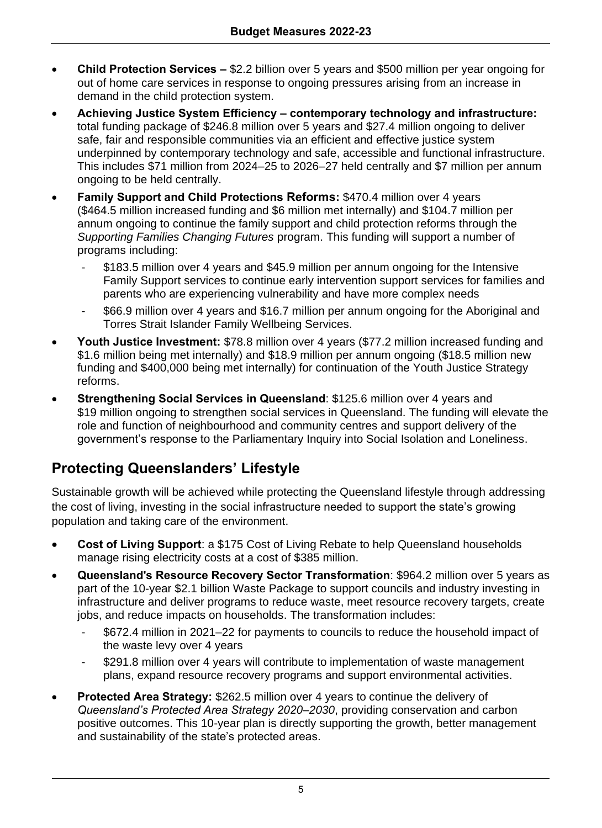- **Child Protection Services –** \$2.2 billion over 5 years and \$500 million per year ongoing for out of home care services in response to ongoing pressures arising from an increase in demand in the child protection system.
- **Achieving Justice System Efficiency – contemporary technology and infrastructure:** total funding package of \$246.8 million over 5 years and \$27.4 million ongoing to deliver safe, fair and responsible communities via an efficient and effective justice system underpinned by contemporary technology and safe, accessible and functional infrastructure. This includes \$71 million from 2024–25 to 2026–27 held centrally and \$7 million per annum ongoing to be held centrally.
- **Family Support and Child Protections Reforms:** \$470.4 million over 4 years (\$464.5 million increased funding and \$6 million met internally) and \$104.7 million per annum ongoing to continue the family support and child protection reforms through the *Supporting Families Changing Futures* program. This funding will support a number of programs including:
	- \$183.5 million over 4 years and \$45.9 million per annum ongoing for the Intensive Family Support services to continue early intervention support services for families and parents who are experiencing vulnerability and have more complex needs
	- \$66.9 million over 4 years and \$16.7 million per annum ongoing for the Aboriginal and Torres Strait Islander Family Wellbeing Services.
- **Youth Justice Investment:** \$78.8 million over 4 years (\$77.2 million increased funding and \$1.6 million being met internally) and \$18.9 million per annum ongoing (\$18.5 million new funding and \$400,000 being met internally) for continuation of the Youth Justice Strategy reforms.
- **Strengthening Social Services in Queensland**: \$125.6 million over 4 years and \$19 million ongoing to strengthen social services in Queensland. The funding will elevate the role and function of neighbourhood and community centres and support delivery of the government's response to the Parliamentary Inquiry into Social Isolation and Loneliness.

# **Protecting Queenslanders' Lifestyle**

Sustainable growth will be achieved while protecting the Queensland lifestyle through addressing the cost of living, investing in the social infrastructure needed to support the state's growing population and taking care of the environment.

- **Cost of Living Support**: a \$175 Cost of Living Rebate to help Queensland households manage rising electricity costs at a cost of \$385 million.
- **Queensland's Resource Recovery Sector Transformation**: \$964.2 million over 5 years as part of the 10-year \$2.1 billion Waste Package to support councils and industry investing in infrastructure and deliver programs to reduce waste, meet resource recovery targets, create jobs, and reduce impacts on households. The transformation includes:
	- \$672.4 million in 2021–22 for payments to councils to reduce the household impact of the waste levy over 4 years
	- \$291.8 million over 4 years will contribute to implementation of waste management plans, expand resource recovery programs and support environmental activities.
- **Protected Area Strategy:** \$262.5 million over 4 years to continue the delivery of *Queensland's Protected Area Strategy 2020–2030*, providing conservation and carbon positive outcomes. This 10-year plan is directly supporting the growth, better management and sustainability of the state's protected areas.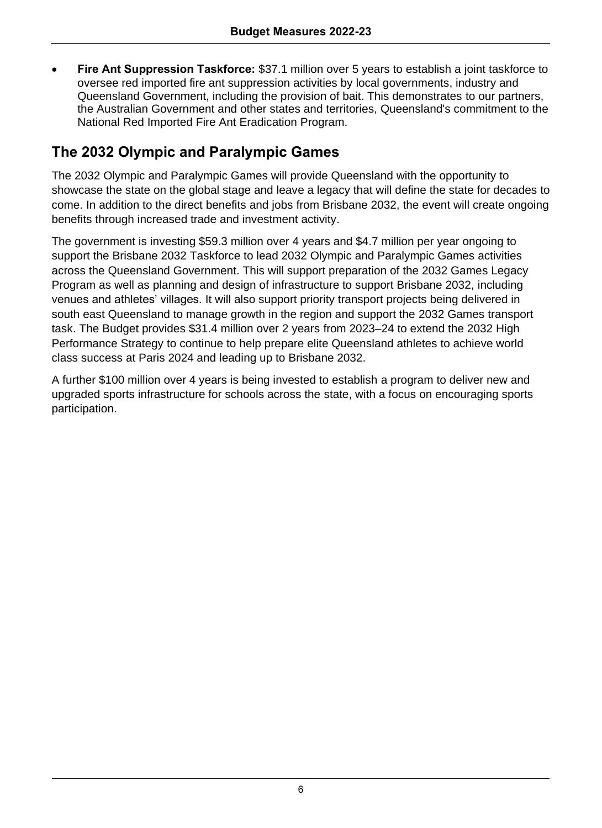• **Fire Ant Suppression Taskforce:** \$37.1 million over 5 years to establish a joint taskforce to oversee red imported fire ant suppression activities by local governments, industry and Queensland Government, including the provision of bait. This demonstrates to our partners, the Australian Government and other states and territories, Queensland's commitment to the National Red Imported Fire Ant Eradication Program.

# **The 2032 Olympic and Paralympic Games**

The 2032 Olympic and Paralympic Games will provide Queensland with the opportunity to showcase the state on the global stage and leave a legacy that will define the state for decades to come. In addition to the direct benefits and jobs from Brisbane 2032, the event will create ongoing benefits through increased trade and investment activity.

The government is investing \$59.3 million over 4 years and \$4.7 million per year ongoing to support the Brisbane 2032 Taskforce to lead 2032 Olympic and Paralympic Games activities across the Queensland Government. This will support preparation of the 2032 Games Legacy Program as well as planning and design of infrastructure to support Brisbane 2032, including venues and athletes' villages. It will also support priority transport projects being delivered in south east Queensland to manage growth in the region and support the 2032 Games transport task. The Budget provides \$31.4 million over 2 years from 2023–24 to extend the 2032 High Performance Strategy to continue to help prepare elite Queensland athletes to achieve world class success at Paris 2024 and leading up to Brisbane 2032.

A further \$100 million over 4 years is being invested to establish a program to deliver new and upgraded sports infrastructure for schools across the state, with a focus on encouraging sports participation.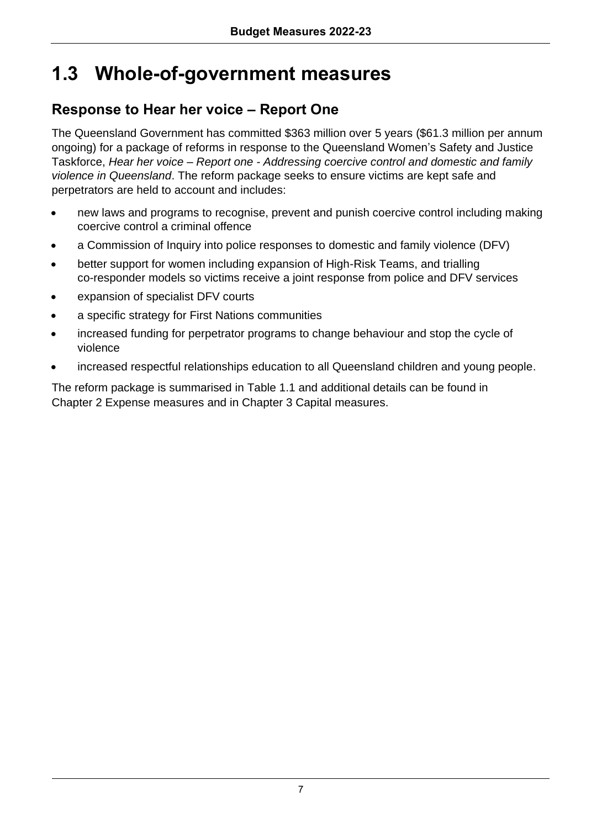# **1.3 Whole-of-government measures**

# **Response to Hear her voice – Report One**

The Queensland Government has committed \$363 million over 5 years (\$61.3 million per annum ongoing) for a package of reforms in response to the Queensland Women's Safety and Justice Taskforce, *Hear her voice – Report one - Addressing coercive control and domestic and family violence in Queensland*. The reform package seeks to ensure victims are kept safe and perpetrators are held to account and includes:

- new laws and programs to recognise, prevent and punish coercive control including making coercive control a criminal offence
- a Commission of Inquiry into police responses to domestic and family violence (DFV)
- better support for women including expansion of High-Risk Teams, and trialling co-responder models so victims receive a joint response from police and DFV services
- expansion of specialist DFV courts
- a specific strategy for First Nations communities
- increased funding for perpetrator programs to change behaviour and stop the cycle of violence
- increased respectful relationships education to all Queensland children and young people.

The reform package is summarised in Table 1.1 and additional details can be found in Chapter 2 Expense measures and in Chapter 3 Capital measures.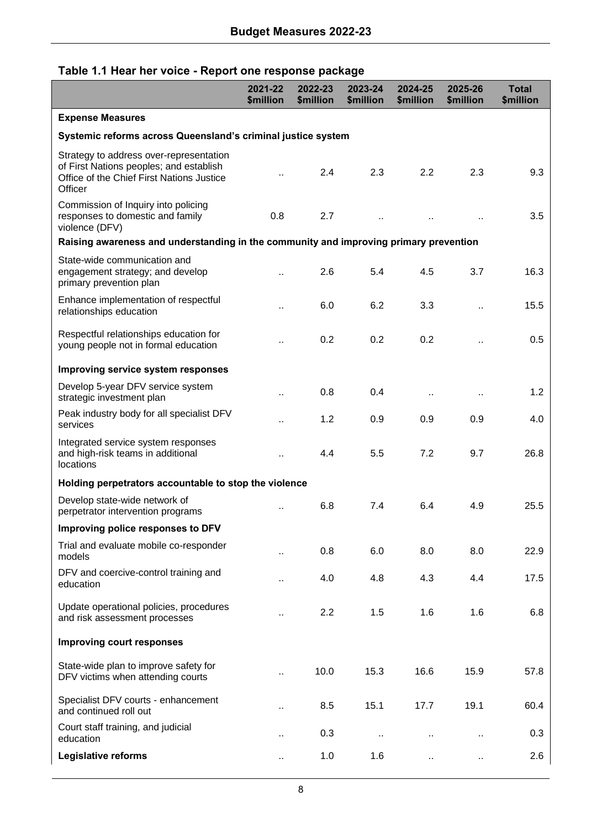### **Table 1.1 Hear her voice - Report one response package**

|                                                                                                                                            | 2021-22<br>\$million | 2022-23<br>\$million | 2023-24<br>\$million | 2024-25<br>\$million | 2025-26<br>\$million | <b>Total</b><br>\$million |  |  |  |  |  |
|--------------------------------------------------------------------------------------------------------------------------------------------|----------------------|----------------------|----------------------|----------------------|----------------------|---------------------------|--|--|--|--|--|
| <b>Expense Measures</b>                                                                                                                    |                      |                      |                      |                      |                      |                           |  |  |  |  |  |
| Systemic reforms across Queensland's criminal justice system                                                                               |                      |                      |                      |                      |                      |                           |  |  |  |  |  |
| Strategy to address over-representation<br>of First Nations peoples; and establish<br>Office of the Chief First Nations Justice<br>Officer |                      | 2.4                  | 2.3                  | 2.2                  | 2.3                  | 9.3                       |  |  |  |  |  |
| Commission of Inquiry into policing<br>responses to domestic and family<br>violence (DFV)                                                  | 0.8                  | 2.7                  | $\ddot{\phantom{a}}$ |                      |                      | 3.5                       |  |  |  |  |  |
| Raising awareness and understanding in the community and improving primary prevention                                                      |                      |                      |                      |                      |                      |                           |  |  |  |  |  |
| State-wide communication and<br>engagement strategy; and develop<br>primary prevention plan                                                | $\ddotsc$            | 2.6                  | 5.4                  | 4.5                  | 3.7                  | 16.3                      |  |  |  |  |  |
| Enhance implementation of respectful<br>relationships education                                                                            | $\ddot{\phantom{a}}$ | 6.0                  | 6.2                  | 3.3                  | $\ddot{\phantom{a}}$ | 15.5                      |  |  |  |  |  |
| Respectful relationships education for<br>young people not in formal education                                                             | $\cdot$              | 0.2                  | 0.2                  | 0.2                  | $\ddot{\phantom{a}}$ | 0.5                       |  |  |  |  |  |
| Improving service system responses                                                                                                         |                      |                      |                      |                      |                      |                           |  |  |  |  |  |
| Develop 5-year DFV service system<br>strategic investment plan                                                                             | ٠.                   | 0.8                  | 0.4                  | $\ddot{\phantom{a}}$ | $\ddot{\phantom{0}}$ | 1.2                       |  |  |  |  |  |
| Peak industry body for all specialist DFV<br>services                                                                                      | $\ddot{\phantom{a}}$ | 1.2                  | 0.9                  | 0.9                  | 0.9                  | 4.0                       |  |  |  |  |  |
| Integrated service system responses<br>and high-risk teams in additional<br>locations                                                      | $\ddot{\phantom{a}}$ | 4.4                  | 5.5                  | 7.2                  | 9.7                  | 26.8                      |  |  |  |  |  |
| Holding perpetrators accountable to stop the violence                                                                                      |                      |                      |                      |                      |                      |                           |  |  |  |  |  |
| Develop state-wide network of<br>perpetrator intervention programs                                                                         | $\ddot{\phantom{a}}$ | 6.8                  | 7.4                  | 6.4                  | 4.9                  | 25.5                      |  |  |  |  |  |
| Improving police responses to DFV                                                                                                          |                      |                      |                      |                      |                      |                           |  |  |  |  |  |
| Trial and evaluate mobile co-responder<br>models                                                                                           | $\ddot{\phantom{a}}$ | 0.8                  | 6.0                  | 8.0                  | 8.0                  | 22.9                      |  |  |  |  |  |
| DFV and coercive-control training and<br>education                                                                                         | $\ddot{\phantom{a}}$ | 4.0                  | 4.8                  | 4.3                  | 4.4                  | 17.5                      |  |  |  |  |  |
| Update operational policies, procedures<br>and risk assessment processes                                                                   |                      | 2.2                  | 1.5                  | 1.6                  | 1.6                  | 6.8                       |  |  |  |  |  |
| Improving court responses                                                                                                                  |                      |                      |                      |                      |                      |                           |  |  |  |  |  |
| State-wide plan to improve safety for<br>DFV victims when attending courts                                                                 | $\ddot{\phantom{a}}$ | 10.0                 | 15.3                 | 16.6                 | 15.9                 | 57.8                      |  |  |  |  |  |
| Specialist DFV courts - enhancement<br>and continued roll out                                                                              | $\ddot{\phantom{a}}$ | 8.5                  | 15.1                 | 17.7                 | 19.1                 | 60.4                      |  |  |  |  |  |
| Court staff training, and judicial<br>education                                                                                            | $\ddot{\phantom{a}}$ | 0.3                  | $\ddot{\phantom{a}}$ | $\ddot{\phantom{a}}$ | $\ddotsc$            | 0.3                       |  |  |  |  |  |
| Legislative reforms                                                                                                                        |                      | 1.0                  | 1.6                  |                      | $\ddotsc$            | 2.6                       |  |  |  |  |  |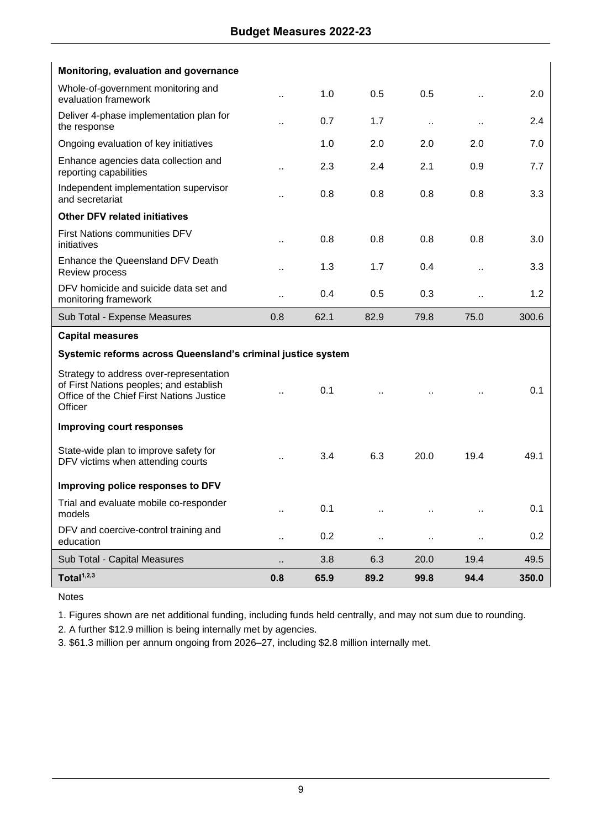| Monitoring, evaluation and governance                                                                                                      |                      |      |                      |                      |                      |       |
|--------------------------------------------------------------------------------------------------------------------------------------------|----------------------|------|----------------------|----------------------|----------------------|-------|
| Whole-of-government monitoring and<br>evaluation framework                                                                                 | $\ddot{\phantom{a}}$ | 1.0  | 0.5                  | 0.5                  | $\ddotsc$            | 2.0   |
| Deliver 4-phase implementation plan for<br>the response                                                                                    |                      | 0.7  | 1.7                  | $\ddot{\phantom{a}}$ | $\ddot{\phantom{a}}$ | 2.4   |
| Ongoing evaluation of key initiatives                                                                                                      |                      | 1.0  | 2.0                  | 2.0                  | 2.0                  | 7.0   |
| Enhance agencies data collection and<br>reporting capabilities                                                                             | $\ddot{\phantom{a}}$ | 2.3  | 2.4                  | 2.1                  | 0.9                  | 7.7   |
| Independent implementation supervisor<br>and secretariat                                                                                   |                      | 0.8  | 0.8                  | 0.8                  | 0.8                  | 3.3   |
| <b>Other DFV related initiatives</b>                                                                                                       |                      |      |                      |                      |                      |       |
| First Nations communities DFV<br>initiatives                                                                                               | $\ddot{\phantom{a}}$ | 0.8  | 0.8                  | 0.8                  | 0.8                  | 3.0   |
| Enhance the Queensland DFV Death<br>Review process                                                                                         |                      | 1.3  | 1.7                  | 0.4                  |                      | 3.3   |
| DFV homicide and suicide data set and<br>monitoring framework                                                                              | $\ddot{\phantom{a}}$ | 0.4  | 0.5                  | 0.3                  |                      | 1.2   |
| Sub Total - Expense Measures                                                                                                               | 0.8                  | 62.1 | 82.9                 | 79.8                 | 75.0                 | 300.6 |
| <b>Capital measures</b>                                                                                                                    |                      |      |                      |                      |                      |       |
| Systemic reforms across Queensland's criminal justice system                                                                               |                      |      |                      |                      |                      |       |
| Strategy to address over-representation<br>of First Nations peoples; and establish<br>Office of the Chief First Nations Justice<br>Officer |                      | 0.1  |                      |                      |                      | 0.1   |
| <b>Improving court responses</b>                                                                                                           |                      |      |                      |                      |                      |       |
| State-wide plan to improve safety for<br>DFV victims when attending courts                                                                 | $\ddot{\phantom{a}}$ | 3.4  | 6.3                  | 20.0                 | 19.4                 | 49.1  |
| Improving police responses to DFV                                                                                                          |                      |      |                      |                      |                      |       |
| Trial and evaluate mobile co-responder<br>models                                                                                           | $\ddot{\phantom{a}}$ | 0.1  |                      |                      | $\ddot{\phantom{a}}$ | 0.1   |
| DFV and coercive-control training and<br>education                                                                                         | $\ddot{\phantom{a}}$ | 0.2  | $\ddot{\phantom{a}}$ |                      |                      | 0.2   |
| Sub Total - Capital Measures                                                                                                               |                      | 3.8  | 6.3                  | 20.0                 | 19.4                 | 49.5  |
| Total <sup>1,2,3</sup>                                                                                                                     | 0.8                  | 65.9 | 89.2                 | 99.8                 | 94.4                 | 350.0 |

Notes

1. Figures shown are net additional funding, including funds held centrally, and may not sum due to rounding.

2. A further \$12.9 million is being internally met by agencies.

3. \$61.3 million per annum ongoing from 2026–27, including \$2.8 million internally met.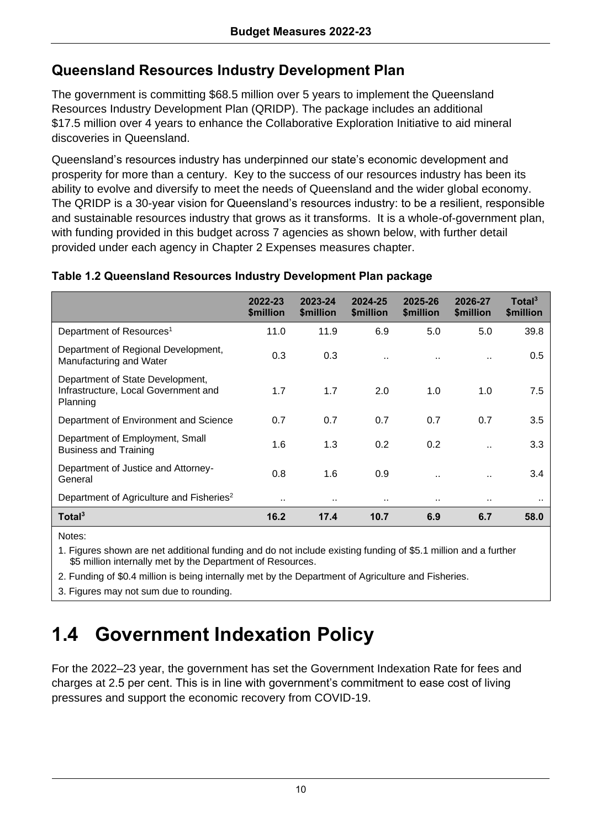# **Queensland Resources Industry Development Plan**

The government is committing \$68.5 million over 5 years to implement the Queensland Resources Industry Development Plan (QRIDP). The package includes an additional \$17.5 million over 4 years to enhance the Collaborative Exploration Initiative to aid mineral discoveries in Queensland.

Queensland's resources industry has underpinned our state's economic development and prosperity for more than a century. Key to the success of our resources industry has been its ability to evolve and diversify to meet the needs of Queensland and the wider global economy. The QRIDP is a 30-year vision for Queensland's resources industry: to be a resilient, responsible and sustainable resources industry that grows as it transforms. It is a whole-of-government plan, with funding provided in this budget across 7 agencies as shown below, with further detail provided under each agency in Chapter 2 Expenses measures chapter.

|                                                                                      | 2022-23<br><b><i><u>Smillion</u></i></b> | 2023-24<br><b><i><u>Smillion</u></i></b> | 2024-25<br><b><i><u>Smillion</u></i></b> | 2025-26<br><b><i><u>Smillion</u></i></b> | 2026-27<br><b><i><u>Smillion</u></i></b> | Total <sup>3</sup><br><b><i><u>Smillion</u></i></b> |
|--------------------------------------------------------------------------------------|------------------------------------------|------------------------------------------|------------------------------------------|------------------------------------------|------------------------------------------|-----------------------------------------------------|
| Department of Resources <sup>1</sup>                                                 | 11.0                                     | 11.9                                     | 6.9                                      | 5.0                                      | 5.0                                      | 39.8                                                |
| Department of Regional Development,<br>Manufacturing and Water                       | 0.3                                      | 0.3                                      |                                          |                                          |                                          | $0.5^{\circ}$                                       |
| Department of State Development,<br>Infrastructure, Local Government and<br>Planning | 1.7                                      | 1.7                                      | 2.0                                      | 1.0                                      | 1.0                                      | 7.5                                                 |
| Department of Environment and Science                                                | 0.7                                      | 0.7                                      | 0.7                                      | 0.7                                      | 0.7                                      | 3.5                                                 |
| Department of Employment, Small<br><b>Business and Training</b>                      | 1.6                                      | 1.3                                      | 0.2                                      | 0.2                                      |                                          | 3.3                                                 |
| Department of Justice and Attorney-<br>General                                       | 0.8                                      | 1.6                                      | 0.9                                      |                                          |                                          | 3.4                                                 |
| Department of Agriculture and Fisheries <sup>2</sup>                                 |                                          |                                          |                                          |                                          | $\cdot$ .                                | $\cdot$ .                                           |
| Total <sup>3</sup>                                                                   | 16.2                                     | 17.4                                     | 10.7                                     | 6.9                                      | 6.7                                      | 58.0                                                |

#### **Table 1.2 Queensland Resources Industry Development Plan package**

Notes:

1. Figures shown are net additional funding and do not include existing funding of \$5.1 million and a further \$5 million internally met by the Department of Resources.

2. Funding of \$0.4 million is being internally met by the Department of Agriculture and Fisheries.

3. Figures may not sum due to rounding.

# **1.4 Government Indexation Policy**

For the 2022–23 year, the government has set the Government Indexation Rate for fees and charges at 2.5 per cent. This is in line with government's commitment to ease cost of living pressures and support the economic recovery from COVID-19.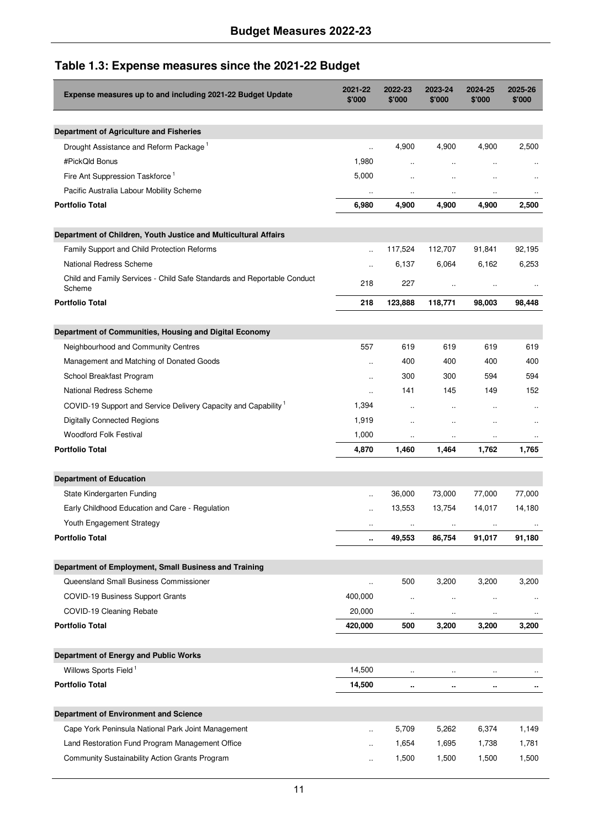## **Table 1.3: Expense measures since the 2021-22 Budget**

| Expense measures up to and including 2021-22 Budget Update                        | 2021-22<br>\$'000    | 2022-23<br>\$'000    | 2023-24<br>\$'000    | 2024-25<br>\$'000    | 2025-26<br>\$'000    |
|-----------------------------------------------------------------------------------|----------------------|----------------------|----------------------|----------------------|----------------------|
| Department of Agriculture and Fisheries                                           |                      |                      |                      |                      |                      |
| Drought Assistance and Reform Package 1                                           | u,                   | 4,900                | 4,900                | 4,900                | 2,500                |
| #PickQld Bonus                                                                    | 1,980                | $\ddot{\phantom{a}}$ | $\ddotsc$            | $\ddot{\phantom{a}}$ |                      |
| Fire Ant Suppression Taskforce <sup>1</sup>                                       | 5,000                | $\ddot{\phantom{a}}$ | $\ddot{\phantom{a}}$ | $\ddot{\phantom{a}}$ |                      |
| Pacific Australia Labour Mobility Scheme                                          | $\ddot{\phantom{0}}$ | $\ddot{\phantom{a}}$ | $\ddot{\phantom{0}}$ | ٠.                   |                      |
| <b>Portfolio Total</b>                                                            | 6,980                | 4,900                | 4,900                | 4,900                | 2,500                |
| Department of Children, Youth Justice and Multicultural Affairs                   |                      |                      |                      |                      |                      |
| Family Support and Child Protection Reforms                                       |                      | 117,524              | 112,707              | 91,841               | 92,195               |
| National Redress Scheme                                                           |                      | 6,137                | 6,064                | 6,162                | 6,253                |
| Child and Family Services - Child Safe Standards and Reportable Conduct<br>Scheme | 218                  | 227                  | $\ddot{\phantom{a}}$ | $\ddotsc$            |                      |
| <b>Portfolio Total</b>                                                            | 218                  | 123,888              | 118,771              | 98,003               | 98,448               |
| Department of Communities, Housing and Digital Economy                            |                      |                      |                      |                      |                      |
| Neighbourhood and Community Centres                                               | 557                  | 619                  | 619                  | 619                  | 619                  |
| Management and Matching of Donated Goods                                          | ÷.                   | 400                  | 400                  | 400                  | 400                  |
| School Breakfast Program                                                          | $\ddotsc$            | 300                  | 300                  | 594                  | 594                  |
| National Redress Scheme                                                           | $\ddotsc$            | 141                  | 145                  | 149                  | 152                  |
| COVID-19 Support and Service Delivery Capacity and Capability <sup>1</sup>        | 1,394                | $\ddot{\phantom{a}}$ | Ω.                   | ٠.                   | $\ddot{\phantom{a}}$ |
| Digitally Connected Regions                                                       | 1,919                | $\ddot{\phantom{0}}$ |                      |                      | $\ddotsc$            |
| Woodford Folk Festival                                                            | 1,000                | $\ddotsc$            | $\ddotsc$            |                      | $\ldots$             |
| <b>Portfolio Total</b>                                                            | 4,870                | 1,460                | 1,464                | 1,762                | 1,765                |
| <b>Department of Education</b>                                                    |                      |                      |                      |                      |                      |
| State Kindergarten Funding                                                        | u,                   | 36,000               | 73,000               | 77,000               | 77,000               |
| Early Childhood Education and Care - Regulation                                   | ä,                   | 13,553               | 13,754               | 14,017               | 14,180               |
| Youth Engagement Strategy                                                         | $\ddotsc$            | $\ldots$             | $\ldots$             | $\cdot\cdot$         |                      |
| <b>Portfolio Total</b>                                                            | ٠.                   | 49,553               | 86,754               | 91,017               | 91,180               |
| Department of Employment, Small Business and Training                             |                      |                      |                      |                      |                      |
| Queensland Small Business Commissioner                                            | $\ddot{\phantom{0}}$ | 500                  | 3,200                | 3,200                | 3,200                |
| COVID-19 Business Support Grants                                                  | 400,000              | $\ddot{\phantom{1}}$ | $\ddotsc$            | $\ddotsc$            |                      |
| COVID-19 Cleaning Rebate                                                          | 20,000               |                      |                      | ٠.                   |                      |
| <b>Portfolio Total</b>                                                            | 420,000              | 500                  | 3,200                | 3,200                | 3,200                |
| Department of Energy and Public Works                                             |                      |                      |                      |                      |                      |
| Willows Sports Field <sup>1</sup>                                                 | 14,500               |                      |                      |                      |                      |
| <b>Portfolio Total</b>                                                            | 14,500               | ٠.                   | ٠.                   |                      | ٠.                   |
| Department of Environment and Science                                             |                      |                      |                      |                      |                      |
| Cape York Peninsula National Park Joint Management                                | $\ddot{\phantom{a}}$ | 5,709                | 5,262                | 6,374                | 1,149                |
| Land Restoration Fund Program Management Office                                   | $\ddot{\phantom{a}}$ | 1,654                | 1,695                | 1,738                | 1,781                |
| Community Sustainability Action Grants Program                                    | $\ddot{\phantom{a}}$ | 1,500                | 1,500                | 1,500                | 1,500                |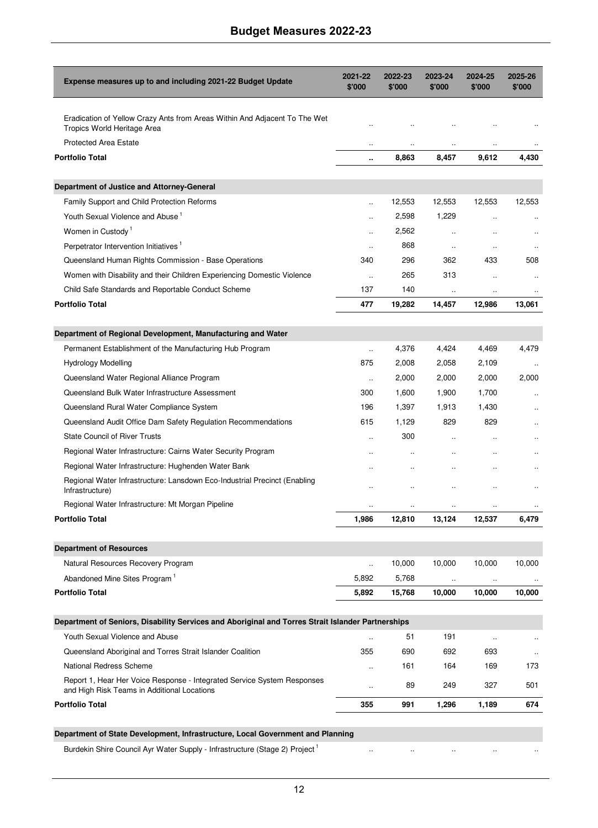| Expense measures up to and including 2021-22 Budget Update                                                             | 2021-22<br>\$'000    | 2022-23<br>\$'000 | 2023-24<br>\$'000    | 2024-25<br>\$'000    | 2025-26<br>\$'000    |
|------------------------------------------------------------------------------------------------------------------------|----------------------|-------------------|----------------------|----------------------|----------------------|
|                                                                                                                        |                      |                   |                      |                      |                      |
| Eradication of Yellow Crazy Ants from Areas Within And Adjacent To The Wet<br>Tropics World Heritage Area              |                      |                   |                      |                      |                      |
| <b>Protected Area Estate</b>                                                                                           |                      |                   |                      |                      |                      |
| <b>Portfolio Total</b>                                                                                                 | $\ddot{\phantom{a}}$ | 8,863             | 8,457                | 9,612                | 4,430                |
| Department of Justice and Attorney-General                                                                             |                      |                   |                      |                      |                      |
| Family Support and Child Protection Reforms                                                                            | u,                   | 12,553            | 12,553               | 12,553               | 12,553               |
| Youth Sexual Violence and Abuse <sup>1</sup>                                                                           | $\ddot{\phantom{a}}$ | 2,598             | 1,229                | $\ddotsc$            |                      |
| Women in Custody <sup>1</sup>                                                                                          | $\ddot{\phantom{a}}$ | 2,562             | $\ddot{\phantom{1}}$ | $\ddot{\phantom{a}}$ | $\ddot{\phantom{a}}$ |
| Perpetrator Intervention Initiatives <sup>1</sup>                                                                      | $\ddot{\phantom{a}}$ | 868               | $\ddot{\phantom{1}}$ | $\ddotsc$            | $\ddotsc$            |
| Queensland Human Rights Commission - Base Operations                                                                   | 340                  | 296               | 362                  | 433                  | 508                  |
| Women with Disability and their Children Experiencing Domestic Violence                                                | $\ddot{\phantom{a}}$ | 265               | 313                  | $\ddot{\phantom{a}}$ | $\ddot{\phantom{a}}$ |
| Child Safe Standards and Reportable Conduct Scheme                                                                     | 137                  | 140               | $\ddotsc$            | $\ddotsc$            | $\ddotsc$            |
| <b>Portfolio Total</b>                                                                                                 | 477                  | 19.282            | 14,457               | 12,986               | 13,061               |
| Department of Regional Development, Manufacturing and Water                                                            |                      |                   |                      |                      |                      |
| Permanent Establishment of the Manufacturing Hub Program                                                               | u,                   | 4,376             | 4,424                | 4,469                | 4,479                |
| <b>Hydrology Modelling</b>                                                                                             | 875                  | 2,008             | 2,058                | 2,109                |                      |
| Queensland Water Regional Alliance Program                                                                             | $\ddotsc$            | 2,000             | 2,000                | 2,000                | 2,000                |
| Queensland Bulk Water Infrastructure Assessment                                                                        | 300                  | 1,600             | 1,900                | 1,700                |                      |
| Queensland Rural Water Compliance System                                                                               | 196                  | 1,397             | 1,913                | 1,430                |                      |
| Queensland Audit Office Dam Safety Regulation Recommendations                                                          | 615                  | 1,129             | 829                  | 829                  |                      |
| <b>State Council of River Trusts</b>                                                                                   | $\ddot{\phantom{a}}$ | 300               | $\ddot{\phantom{a}}$ | ÷.                   |                      |
| Regional Water Infrastructure: Cairns Water Security Program                                                           |                      |                   |                      |                      |                      |
| Regional Water Infrastructure: Hughenden Water Bank                                                                    |                      |                   |                      |                      |                      |
| Regional Water Infrastructure: Lansdown Eco-Industrial Precinct (Enabling<br>Infrastructure)                           | $\ddot{\phantom{a}}$ |                   | $\ddot{\phantom{a}}$ |                      |                      |
| Regional Water Infrastructure: Mt Morgan Pipeline                                                                      | $\ddotsc$            |                   | $\ddotsc$            | $\ddotsc$            |                      |
| <b>Portfolio Total</b>                                                                                                 | 1,986                | 12,810            | 13,124               | 12,537               | 6,479                |
|                                                                                                                        |                      |                   |                      |                      |                      |
| <b>Department of Resources</b>                                                                                         |                      |                   |                      |                      |                      |
| Natural Resources Recovery Program                                                                                     | $\ddotsc$            | 10,000            | 10,000               | 10,000               | 10,000               |
| Abandoned Mine Sites Program <sup>1</sup>                                                                              | 5,892                | 5,768             |                      |                      |                      |
| <b>Portfolio Total</b>                                                                                                 | 5,892                | 15,768            | 10,000               | 10,000               | 10,000               |
| Department of Seniors, Disability Services and Aboriginal and Torres Strait Islander Partnerships                      |                      |                   |                      |                      |                      |
| Youth Sexual Violence and Abuse                                                                                        |                      | 51                | 191                  | $\ddot{\phantom{a}}$ | $\ddot{\phantom{a}}$ |
| Queensland Aboriginal and Torres Strait Islander Coalition                                                             | 355                  | 690               | 692                  | 693                  | $\ddotsc$            |
| National Redress Scheme                                                                                                | $\ddotsc$            | 161               | 164                  | 169                  | 173                  |
| Report 1, Hear Her Voice Response - Integrated Service System Responses<br>and High Risk Teams in Additional Locations | $\ddot{\phantom{a}}$ | 89                | 249                  | 327                  | 501                  |
| <b>Portfolio Total</b>                                                                                                 | 355                  | 991               | 1,296                | 1,189                | 674                  |

#### **Department of State Development, Infrastructure, Local Government and Planning**

Burdekin Shire Council Ayr Water Supply - Infrastructure (Stage 2) Project<sup>1</sup>

.. .. .. .. ..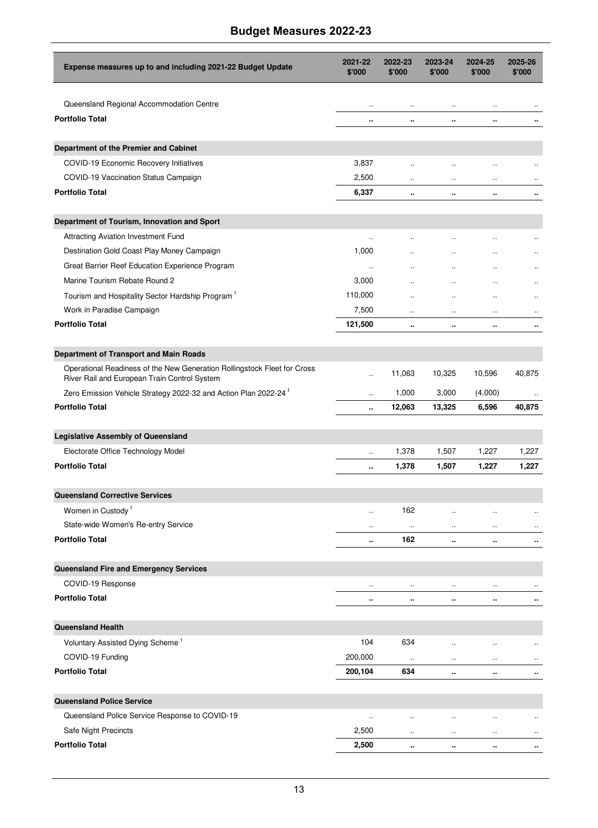| Expense measures up to and including 2021-22 Budget Update                                                               | 2021-22<br>\$'000    | 2022-23<br>\$'000    | 2023-24<br>\$'000    | 2024-25<br>\$'000    | 2025-26<br>\$'000    |
|--------------------------------------------------------------------------------------------------------------------------|----------------------|----------------------|----------------------|----------------------|----------------------|
| Queensland Regional Accommodation Centre                                                                                 | $\ddot{\phantom{a}}$ | $\ddot{\phantom{0}}$ |                      |                      |                      |
| <b>Portfolio Total</b>                                                                                                   | ٠.                   | ٠.                   | ٠.                   | ٠.                   | ٠.                   |
| Department of the Premier and Cabinet                                                                                    |                      |                      |                      |                      |                      |
| COVID-19 Economic Recovery Initiatives                                                                                   | 3,837                | $\ddot{\phantom{a}}$ | $\ddot{\phantom{a}}$ | $\ddot{\phantom{a}}$ | $\ddot{\phantom{a}}$ |
| COVID-19 Vaccination Status Campaign                                                                                     | 2,500                | $\ddot{\phantom{a}}$ | $\ddotsc$            | $\ddotsc$            | $\ddotsc$            |
| <b>Portfolio Total</b>                                                                                                   | 6,337                |                      | $\ddot{\phantom{a}}$ | ٠.                   | $\cdot$              |
| Department of Tourism, Innovation and Sport                                                                              |                      |                      |                      |                      |                      |
| Attracting Aviation Investment Fund                                                                                      | $\ddot{\phantom{a}}$ |                      |                      |                      | $\ddot{\phantom{a}}$ |
| Destination Gold Coast Play Money Campaign                                                                               | 1,000                | $\ddotsc$            | Ω.                   | Ω.                   | $\ddotsc$            |
| Great Barrier Reef Education Experience Program                                                                          | $\ddotsc$            | Ω.                   | $\ddot{\phantom{0}}$ | Ω.                   | $\ddotsc$            |
| Marine Tourism Rebate Round 2                                                                                            | 3,000                | Ω.                   |                      |                      | $\ddotsc$            |
| Tourism and Hospitality Sector Hardship Program <sup>1</sup>                                                             | 110,000              | $\ddot{\phantom{a}}$ | $\ddot{\phantom{a}}$ | $\ddotsc$            | $\ddot{\phantom{a}}$ |
| Work in Paradise Campaign                                                                                                | 7,500                | $\ddotsc$            | $\ddotsc$            | $\ddotsc$            | $\ldots$             |
| <b>Portfolio Total</b>                                                                                                   | 121,500              | ٠.                   | Ω.                   | ٠.                   | $\cdot$              |
| Department of Transport and Main Roads                                                                                   |                      |                      |                      |                      |                      |
| Operational Readiness of the New Generation Rollingstock Fleet for Cross<br>River Rail and European Train Control System | $\ddot{\phantom{a}}$ | 11,063               | 10,325               | 10,596               | 40,875               |
| Zero Emission Vehicle Strategy 2022-32 and Action Plan 2022-24                                                           | $\ddot{\phantom{a}}$ | 1,000                | 3,000                | (4,000)              |                      |
| <b>Portfolio Total</b>                                                                                                   | ٠.                   | 12,063               | 13,325               | 6,596                | 40,875               |
| <b>Legislative Assembly of Queensland</b>                                                                                |                      |                      |                      |                      |                      |
| Electorate Office Technology Model                                                                                       |                      | 1,378                | 1,507                | 1,227                | 1,227                |
| <b>Portfolio Total</b>                                                                                                   | ٠.                   | 1,378                | 1,507                | 1,227                | 1,227                |
| <b>Queensland Corrective Services</b>                                                                                    |                      |                      |                      |                      |                      |
| Women in Custody <sup>1</sup>                                                                                            | $\ddot{\phantom{a}}$ | 162                  | $\ddot{\phantom{a}}$ | $\ddotsc$            |                      |
| State-wide Women's Re-entry Service                                                                                      | $\ddotsc$            | $\ddot{\phantom{0}}$ | $\ddotsc$            | $\ddotsc$            | $\ldots$             |
| <b>Portfolio Total</b>                                                                                                   |                      | 162                  |                      |                      | $\cdots$             |
| Queensland Fire and Emergency Services                                                                                   |                      |                      |                      |                      |                      |
| COVID-19 Response                                                                                                        | $\ddotsc$            | $\ddot{\phantom{0}}$ | $\ldots$             | $\ddot{\phantom{a}}$ |                      |
| <b>Portfolio Total</b>                                                                                                   |                      |                      |                      | ٠.                   | $\blacksquare$       |
| <b>Queensland Health</b>                                                                                                 |                      |                      |                      |                      |                      |
| Voluntary Assisted Dying Scheme <sup>1</sup>                                                                             | 104                  | 634                  | $\ddot{\phantom{0}}$ | $\ddot{\phantom{a}}$ | $\ddotsc$            |
| COVID-19 Funding                                                                                                         | 200,000              | $\ddotsc$            | $\ddot{\phantom{a}}$ | $\ddotsc$            | $\ddotsc$            |
| <b>Portfolio Total</b>                                                                                                   | 200,104              | 634                  | ٠.                   | ٠.                   | ٠.                   |
| <b>Queensland Police Service</b>                                                                                         |                      |                      |                      |                      |                      |
| Queensland Police Service Response to COVID-19                                                                           | $\ddotsc$            |                      |                      |                      | $\ddot{\phantom{a}}$ |
| Safe Night Precincts                                                                                                     | 2,500                |                      | $\ddotsc$            | $\ddotsc$            | $\ldots$             |
| <b>Portfolio Total</b>                                                                                                   | 2,500                |                      | ٠.                   | Ω.                   | ٠.                   |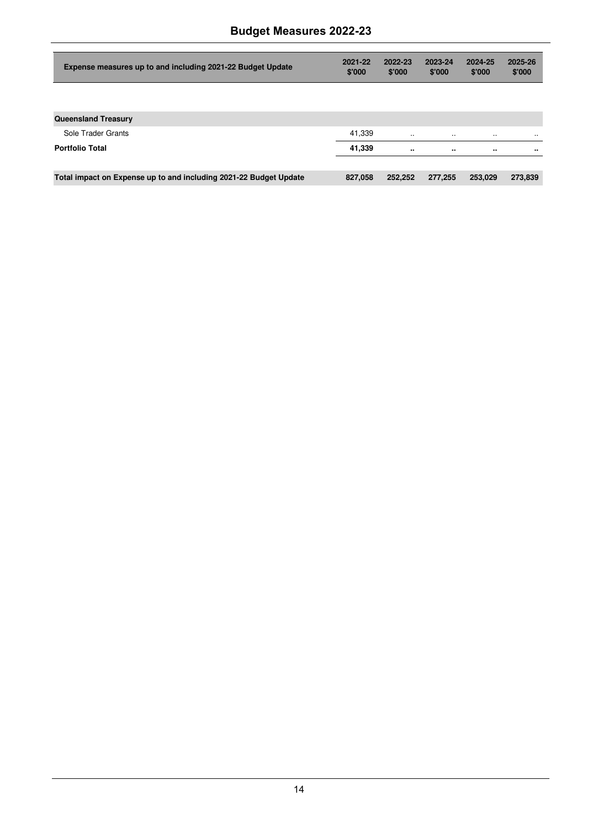| Expense measures up to and including 2021-22 Budget Update        | 2021-22<br>\$'000 | 2022-23<br>\$'000 | 2023-24<br>\$'000 | 2024-25<br>\$'000 | 2025-26<br>\$'000 |
|-------------------------------------------------------------------|-------------------|-------------------|-------------------|-------------------|-------------------|
|                                                                   |                   |                   |                   |                   |                   |
| <b>Queensland Treasury</b>                                        |                   |                   |                   |                   |                   |
| Sole Trader Grants                                                | 41.339            | $\ddotsc$         | $\ddotsc$         | $\ddotsc$         | $\cdots$          |
| <b>Portfolio Total</b>                                            | 41,339            |                   |                   |                   |                   |
|                                                                   |                   |                   |                   |                   |                   |
| Total impact on Expense up to and including 2021-22 Budget Update | 827.058           | 252.252           | 277.255           | 253.029           | 273,839           |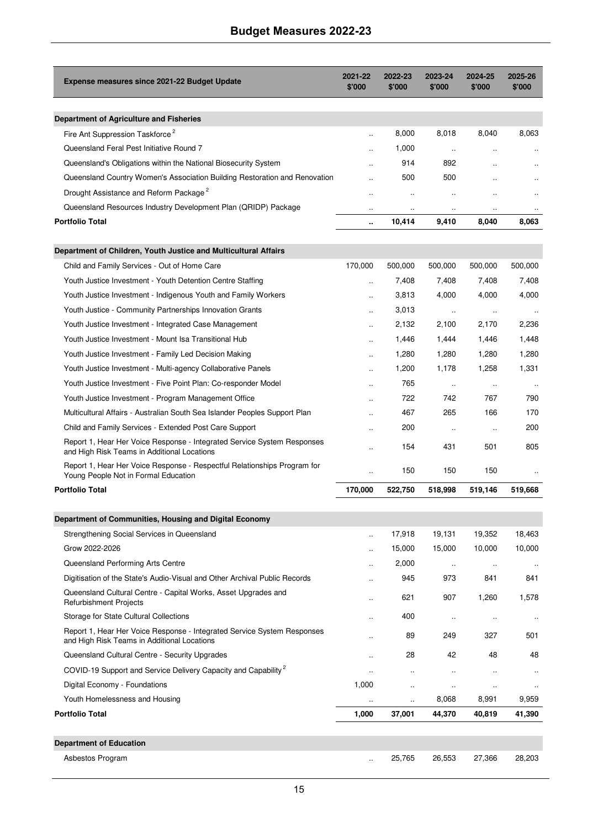| Expense measures since 2021-22 Budget Update                                                                           | 2021-22<br>\$'000    | 2022-23<br>\$'000    | 2023-24<br>\$'000    | 2024-25<br>\$'000    | 2025-26<br>\$'000    |
|------------------------------------------------------------------------------------------------------------------------|----------------------|----------------------|----------------------|----------------------|----------------------|
|                                                                                                                        |                      |                      |                      |                      |                      |
| Department of Agriculture and Fisheries                                                                                |                      |                      |                      |                      |                      |
| Fire Ant Suppression Taskforce <sup>2</sup>                                                                            | ÷.                   | 8,000                | 8,018                | 8,040                | 8,063                |
| Queensland Feral Pest Initiative Round 7                                                                               | $\ddot{\phantom{a}}$ | 1,000                | $\ddot{\phantom{a}}$ | $\ddotsc$            |                      |
| Queensland's Obligations within the National Biosecurity System                                                        |                      | 914                  | 892                  |                      |                      |
| Queensland Country Women's Association Building Restoration and Renovation                                             |                      | 500                  | 500                  | $\ddot{\phantom{a}}$ |                      |
| Drought Assistance and Reform Package <sup>2</sup>                                                                     | ÷.                   | $\ddot{\phantom{a}}$ | $\ddot{\phantom{a}}$ | $\ddot{\phantom{a}}$ | $\ddot{\phantom{a}}$ |
| Queensland Resources Industry Development Plan (QRIDP) Package                                                         | $\ddot{\phantom{a}}$ | $\ddot{\phantom{a}}$ | $\ddot{\phantom{a}}$ | $\ddot{\phantom{a}}$ |                      |
| <b>Portfolio Total</b>                                                                                                 |                      | 10,414               | 9,410                | 8,040                | 8,063                |
| Department of Children, Youth Justice and Multicultural Affairs                                                        |                      |                      |                      |                      |                      |
| Child and Family Services - Out of Home Care                                                                           | 170,000              | 500,000              | 500,000              | 500,000              | 500,000              |
| Youth Justice Investment - Youth Detention Centre Staffing                                                             | $\ddot{\phantom{a}}$ | 7,408                | 7,408                | 7,408                | 7,408                |
| Youth Justice Investment - Indigenous Youth and Family Workers                                                         | $\ddot{\phantom{a}}$ | 3,813                | 4,000                | 4,000                | 4,000                |
| Youth Justice - Community Partnerships Innovation Grants                                                               | $\ddot{\phantom{a}}$ | 3,013                | $\ddotsc$            | $\ddotsc$            |                      |
| Youth Justice Investment - Integrated Case Management                                                                  | $\ddot{\phantom{a}}$ | 2,132                | 2,100                | 2,170                | 2,236                |
| Youth Justice Investment - Mount Isa Transitional Hub                                                                  | $\ddot{\phantom{a}}$ | 1,446                | 1,444                | 1,446                | 1,448                |
| Youth Justice Investment - Family Led Decision Making                                                                  | $\ddotsc$            | 1,280                | 1,280                | 1,280                | 1,280                |
| Youth Justice Investment - Multi-agency Collaborative Panels                                                           | ä.                   | 1,200                | 1,178                | 1,258                | 1,331                |
| Youth Justice Investment - Five Point Plan: Co-responder Model                                                         | $\ddot{\phantom{a}}$ | 765                  | $\ddot{\phantom{a}}$ | $\ddot{\phantom{a}}$ |                      |
| Youth Justice Investment - Program Management Office                                                                   | $\ddot{\phantom{a}}$ | 722                  | 742                  | 767                  | 790                  |
| Multicultural Affairs - Australian South Sea Islander Peoples Support Plan                                             | $\ddot{\phantom{a}}$ | 467                  | 265                  | 166                  | 170                  |
| Child and Family Services - Extended Post Care Support                                                                 | $\ddot{\phantom{a}}$ | 200                  | $\ddot{\phantom{a}}$ | $\ddot{\phantom{a}}$ | 200                  |
| Report 1, Hear Her Voice Response - Integrated Service System Responses<br>and High Risk Teams in Additional Locations |                      | 154                  | 431                  | 501                  | 805                  |
| Report 1, Hear Her Voice Response - Respectful Relationships Program for<br>Young People Not in Formal Education       | $\ddot{\phantom{a}}$ | 150                  | 150                  | 150                  |                      |
| <b>Portfolio Total</b>                                                                                                 | 170,000              | 522,750              | 518,998              | 519,146              | 519,668              |
|                                                                                                                        |                      |                      |                      |                      |                      |
| Department of Communities, Housing and Digital Economy                                                                 |                      |                      |                      |                      |                      |
| Strengthening Social Services in Queensland                                                                            |                      | 17,918               | 19,131               | 19,352               | 18,463               |
| Grow 2022-2026                                                                                                         | $\mathbf{r}$         | 15,000               | 15,000               | 10,000               | 10,000               |
| Queensland Performing Arts Centre                                                                                      | $\ddot{\phantom{a}}$ | 2,000                | $\ddot{\phantom{a}}$ | $\ddot{\phantom{a}}$ |                      |
| Digitisation of the State's Audio-Visual and Other Archival Public Records                                             | $\ddot{\phantom{a}}$ | 945                  | 973                  | 841                  | 841                  |
| Queensland Cultural Centre - Capital Works, Asset Upgrades and<br>Refurbishment Projects                               | ä.                   | 621                  | 907                  | 1,260                | 1,578                |
| Storage for State Cultural Collections                                                                                 |                      | 400                  | $\ddot{\phantom{a}}$ | $\ddot{\phantom{a}}$ |                      |
| Report 1, Hear Her Voice Response - Integrated Service System Responses<br>and High Risk Teams in Additional Locations |                      | 89                   | 249                  | 327                  | 501                  |
| Queensland Cultural Centre - Security Upgrades                                                                         |                      | 28                   | 42                   | 48                   | 48                   |

Asbestos Program 26, 203 and 25,765 26,553 27,366 28,203

Digital Economy - Foundations and the control of the control of the control of the control of the control of the control of the control of the control of the control of the control of the control of the control of the cont Youth Homelessness and Housing the Communication of the Communication of the Communication of the Communication of the Communication of the Communication of the Communication of the Communication of the Communication of th **Portfolio Total 1,000 37,001 44,370 40,819 41,390** 

.. .. .. .. ..

COVID-19 Support and Service Delivery Capacity and Capability<sup>2</sup>

**Department of Education**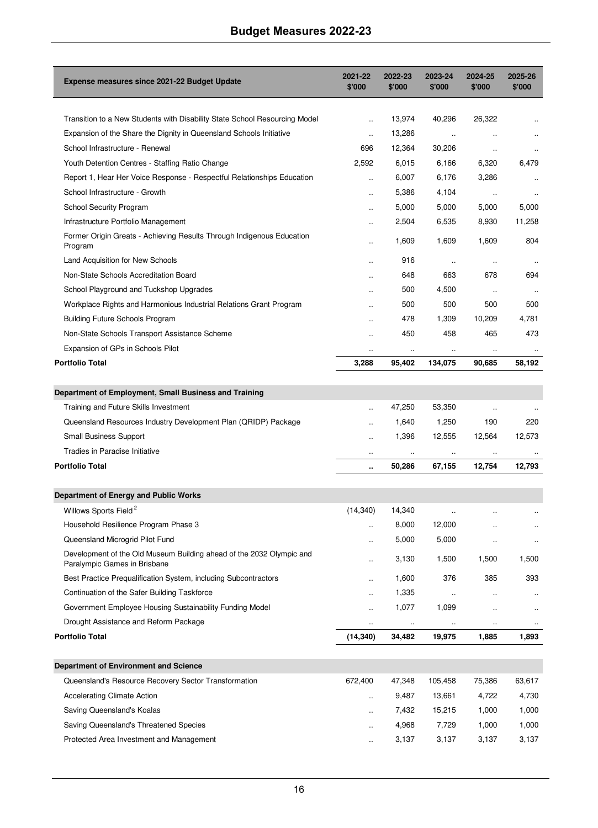| <b>Expense measures since 2021-22 Budget Update</b>                                                  | 2021-22<br>\$'000    | 2022-23<br>\$'000 | 2023-24<br>\$'000    | 2024-25<br>\$'000    | 2025-26<br>\$'000    |
|------------------------------------------------------------------------------------------------------|----------------------|-------------------|----------------------|----------------------|----------------------|
|                                                                                                      |                      |                   |                      |                      |                      |
| Transition to a New Students with Disability State School Resourcing Model                           | $\ddot{\phantom{a}}$ | 13,974            | 40,296               | 26,322               |                      |
| Expansion of the Share the Dignity in Queensland Schools Initiative                                  | $\ddot{\phantom{a}}$ | 13,286            | $\ldots$             | $\ddot{\phantom{a}}$ | $\ddot{\phantom{a}}$ |
| School Infrastructure - Renewal                                                                      | 696                  | 12,364            | 30,206               | $\ddot{\phantom{a}}$ |                      |
| Youth Detention Centres - Staffing Ratio Change                                                      | 2,592                | 6,015             | 6,166                | 6,320                | 6,479                |
| Report 1, Hear Her Voice Response - Respectful Relationships Education                               | $\ddot{\phantom{a}}$ | 6,007             | 6,176                | 3,286                |                      |
| School Infrastructure - Growth                                                                       | ä.                   | 5,386             | 4,104                | $\ddotsc$            | $\ddot{\phantom{a}}$ |
| School Security Program                                                                              |                      | 5,000             | 5,000                | 5,000                | 5,000                |
| Infrastructure Portfolio Management                                                                  | ä.                   | 2,504             | 6,535                | 8,930                | 11,258               |
| Former Origin Greats - Achieving Results Through Indigenous Education<br>Program                     |                      | 1,609             | 1,609                | 1,609                | 804                  |
| Land Acquisition for New Schools                                                                     | $\ddot{\phantom{a}}$ | 916               | $\ddot{\phantom{1}}$ | $\ddotsc$            | $\ldots$             |
| Non-State Schools Accreditation Board                                                                | $\ddot{\phantom{a}}$ | 648               | 663                  | 678                  | 694                  |
| School Playground and Tuckshop Upgrades                                                              | $\ddot{\phantom{a}}$ | 500               | 4,500                | $\ddot{\phantom{a}}$ | $\ddotsc$            |
| Workplace Rights and Harmonious Industrial Relations Grant Program                                   | $\ddot{\phantom{a}}$ | 500               | 500                  | 500                  | 500                  |
| <b>Building Future Schools Program</b>                                                               | $\ddot{\phantom{a}}$ | 478               | 1,309                | 10,209               | 4,781                |
| Non-State Schools Transport Assistance Scheme                                                        | $\ddot{\phantom{a}}$ | 450               | 458                  | 465                  | 473                  |
| Expansion of GPs in Schools Pilot                                                                    | $\ldots$             | $\ddotsc$         | $\ldots$             | $\ldots$             |                      |
| <b>Portfolio Total</b>                                                                               | 3,288                | 95,402            | 134,075              | 90,685               | 58,192               |
|                                                                                                      |                      |                   |                      |                      |                      |
| Department of Employment, Small Business and Training                                                |                      |                   |                      |                      |                      |
| Training and Future Skills Investment                                                                | $\ddot{\phantom{a}}$ | 47,250            | 53,350               | Ω.                   |                      |
| Queensland Resources Industry Development Plan (QRIDP) Package                                       |                      | 1,640             | 1,250                | 190                  | 220                  |
| Small Business Support                                                                               | $\ddot{\phantom{a}}$ | 1,396             | 12,555               | 12,564               | 12,573               |
| Tradies in Paradise Initiative                                                                       | $\ddotsc$            |                   |                      | $\ldots$             |                      |
| <b>Portfolio Total</b>                                                                               | $\ddot{\phantom{a}}$ | 50,286            | 67,155               | 12,754               | 12,793               |
|                                                                                                      |                      |                   |                      |                      |                      |
| Department of Energy and Public Works                                                                |                      |                   |                      |                      |                      |
| Willows Sports Field <sup>2</sup>                                                                    | (14, 340)            | 14,340            | $\ddotsc$            | $\ddot{\phantom{a}}$ |                      |
| Household Resilience Program Phase 3                                                                 | ä,                   | 8,000             | 12,000               |                      |                      |
| Queensland Microgrid Pilot Fund                                                                      |                      | 5,000             | 5,000                | $\ddot{\phantom{0}}$ |                      |
| Development of the Old Museum Building ahead of the 2032 Olympic and<br>Paralympic Games in Brisbane | $\ddot{\phantom{a}}$ | 3,130             | 1,500                | 1,500                | 1,500                |
| Best Practice Prequalification System, including Subcontractors                                      |                      | 1,600             | 376                  | 385                  | 393                  |
| Continuation of the Safer Building Taskforce                                                         | ä.                   | 1,335             |                      |                      |                      |
| Government Employee Housing Sustainability Funding Model                                             |                      | 1,077             | 1,099                |                      |                      |
| Drought Assistance and Reform Package                                                                |                      | $\cdot\cdot$      |                      |                      |                      |
| <b>Portfolio Total</b>                                                                               | (14, 340)            | 34,482            | 19,975               | 1,885                | 1,893                |
|                                                                                                      |                      |                   |                      |                      |                      |
| Department of Environment and Science                                                                |                      |                   |                      |                      |                      |
| Queensland's Resource Recovery Sector Transformation                                                 | 672,400              | 47,348            | 105,458              | 75,386               | 63,617               |
| <b>Accelerating Climate Action</b>                                                                   |                      | 9,487             | 13,661               | 4,722                | 4,730                |
| Saving Queensland's Koalas                                                                           | $\ddot{\phantom{0}}$ | 7,432             | 15,215               | 1,000                | 1,000                |
| Saving Queensland's Threatened Species                                                               | $\ddotsc$            | 4,968             | 7,729                | 1,000                | 1,000                |
| Protected Area Investment and Management                                                             | ä,                   | 3,137             | 3,137                | 3,137                | 3,137                |
|                                                                                                      |                      |                   |                      |                      |                      |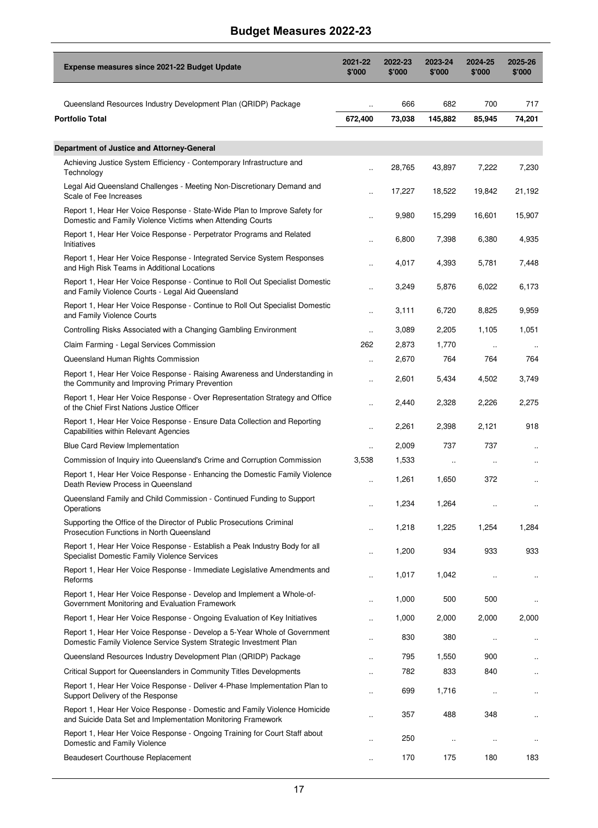| Expense measures since 2021-22 Budget Update                                                                                                  | 2021-22<br>\$'000    | 2022-23<br>\$'000 | 2023-24<br>\$'000    | 2024-25<br>\$'000 | 2025-26<br>\$'000    |
|-----------------------------------------------------------------------------------------------------------------------------------------------|----------------------|-------------------|----------------------|-------------------|----------------------|
| Queensland Resources Industry Development Plan (QRIDP) Package                                                                                | Ω.                   | 666               | 682                  | 700               | 717                  |
| Portfolio Total                                                                                                                               | 672,400              | 73,038            | 145,882              | 85,945            | 74,201               |
|                                                                                                                                               |                      |                   |                      |                   |                      |
| Department of Justice and Attorney-General                                                                                                    |                      |                   |                      |                   |                      |
| Achieving Justice System Efficiency - Contemporary Infrastructure and<br>Technology                                                           |                      | 28,765            | 43,897               | 7,222             | 7,230                |
| Legal Aid Queensland Challenges - Meeting Non-Discretionary Demand and<br>Scale of Fee Increases                                              |                      | 17,227            | 18,522               | 19,842            | 21,192               |
| Report 1, Hear Her Voice Response - State-Wide Plan to Improve Safety for<br>Domestic and Family Violence Victims when Attending Courts       |                      | 9,980             | 15,299               | 16,601            | 15,907               |
| Report 1, Hear Her Voice Response - Perpetrator Programs and Related<br>Initiatives                                                           |                      | 6,800             | 7,398                | 6,380             | 4,935                |
| Report 1, Hear Her Voice Response - Integrated Service System Responses<br>and High Risk Teams in Additional Locations                        |                      | 4,017             | 4,393                | 5,781             | 7,448                |
| Report 1, Hear Her Voice Response - Continue to Roll Out Specialist Domestic<br>and Family Violence Courts - Legal Aid Queensland             |                      | 3,249             | 5,876                | 6,022             | 6,173                |
| Report 1, Hear Her Voice Response - Continue to Roll Out Specialist Domestic<br>and Family Violence Courts                                    | $\ddot{\phantom{a}}$ | 3,111             | 6,720                | 8,825             | 9,959                |
| Controlling Risks Associated with a Changing Gambling Environment                                                                             |                      | 3,089             | 2,205                | 1,105             | 1,051                |
| Claim Farming - Legal Services Commission                                                                                                     | 262                  | 2,873             | 1,770                |                   |                      |
| Queensland Human Rights Commission                                                                                                            | $\ddot{\phantom{a}}$ | 2,670             | 764                  | 764               | 764                  |
| Report 1, Hear Her Voice Response - Raising Awareness and Understanding in<br>the Community and Improving Primary Prevention                  |                      | 2,601             | 5,434                | 4,502             | 3,749                |
| Report 1, Hear Her Voice Response - Over Representation Strategy and Office<br>of the Chief First Nations Justice Officer                     |                      | 2,440             | 2,328                | 2,226             | 2,275                |
| Report 1, Hear Her Voice Response - Ensure Data Collection and Reporting<br>Capabilities within Relevant Agencies                             | Ω.                   | 2,261             | 2,398                | 2,121             | 918                  |
| <b>Blue Card Review Implementation</b>                                                                                                        |                      | 2,009             | 737                  | 737               | $\ddot{\phantom{a}}$ |
| Commission of Inquiry into Queensland's Crime and Corruption Commission                                                                       | 3,538                | 1,533             |                      |                   |                      |
| Report 1, Hear Her Voice Response - Enhancing the Domestic Family Violence<br>Death Review Process in Queensland                              | ä,                   | 1,261             | 1,650                | 372               | $\ddot{\phantom{a}}$ |
| Queensland Family and Child Commission - Continued Funding to Support<br>Operations                                                           | $\ddot{\phantom{a}}$ | 1,234             | 1,264                |                   | $\ddot{\phantom{0}}$ |
| Supporting the Office of the Director of Public Prosecutions Criminal<br>Prosecution Functions in North Queensland                            |                      | 1,218             | 1,225                | 1,254             | 1,284                |
| Report 1, Hear Her Voice Response - Establish a Peak Industry Body for all<br>Specialist Domestic Family Violence Services                    |                      | 1,200             | 934                  | 933               | 933                  |
| Report 1, Hear Her Voice Response - Immediate Legislative Amendments and<br>Reforms                                                           |                      | 1,017             | 1,042                |                   |                      |
| Report 1, Hear Her Voice Response - Develop and Implement a Whole-of-<br>Government Monitoring and Evaluation Framework                       |                      | 1,000             | 500                  | 500               |                      |
| Report 1, Hear Her Voice Response - Ongoing Evaluation of Key Initiatives                                                                     | Ω.                   | 1,000             | 2,000                | 2,000             | 2,000                |
| Report 1, Hear Her Voice Response - Develop a 5-Year Whole of Government<br>Domestic Family Violence Service System Strategic Investment Plan |                      | 830               | 380                  | $\ldots$          | $\ldots$             |
| Queensland Resources Industry Development Plan (QRIDP) Package                                                                                |                      | 795               | 1,550                | 900               |                      |
| Critical Support for Queenslanders in Community Titles Developments                                                                           |                      | 782               | 833                  | 840               |                      |
| Report 1, Hear Her Voice Response - Deliver 4-Phase Implementation Plan to<br>Support Delivery of the Response                                |                      | 699               | 1,716                | $\ddotsc$         | $\ddotsc$            |
| Report 1, Hear Her Voice Response - Domestic and Family Violence Homicide<br>and Suicide Data Set and Implementation Monitoring Framework     |                      | 357               | 488                  | 348               |                      |
| Report 1, Hear Her Voice Response - Ongoing Training for Court Staff about<br>Domestic and Family Violence                                    |                      | 250               | $\ddot{\phantom{0}}$ |                   | $\cdot\cdot$         |
| Beaudesert Courthouse Replacement                                                                                                             |                      | 170               | 175                  | 180               | 183                  |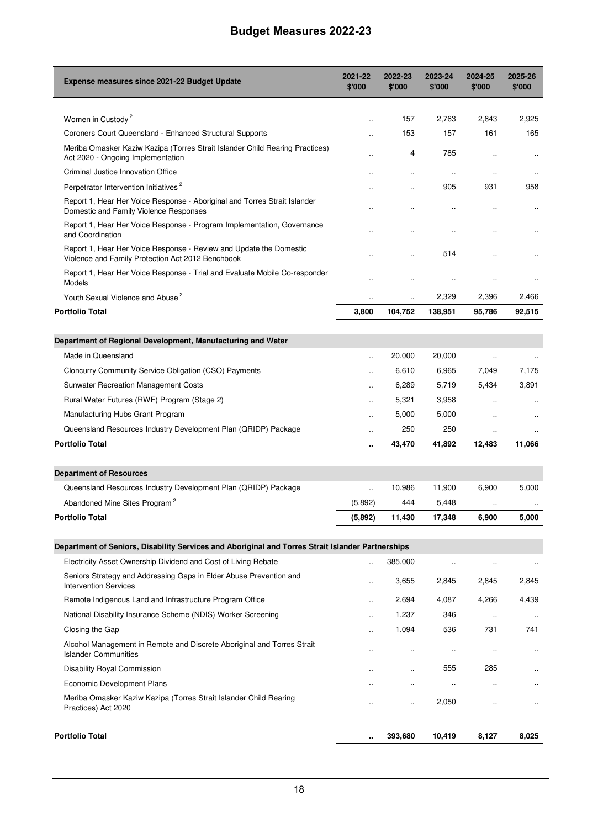| Expense measures since 2021-22 Budget Update                                                                            | 2021-22<br>\$'000    | 2022-23<br>\$'000    | 2023-24<br>\$'000    | 2024-25<br>\$'000    | 2025-26<br>\$'000    |
|-------------------------------------------------------------------------------------------------------------------------|----------------------|----------------------|----------------------|----------------------|----------------------|
| Women in Custody <sup>2</sup>                                                                                           |                      | 157                  | 2,763                | 2,843                | 2,925                |
| Coroners Court Queensland - Enhanced Structural Supports                                                                |                      | 153                  | 157                  | 161                  | 165                  |
| Meriba Omasker Kaziw Kazipa (Torres Strait Islander Child Rearing Practices)<br>Act 2020 - Ongoing Implementation       |                      | $\overline{4}$       | 785                  | $\ddot{\phantom{a}}$ |                      |
| Criminal Justice Innovation Office                                                                                      |                      |                      | $\ddotsc$            | $\ddot{\phantom{0}}$ |                      |
| Perpetrator Intervention Initiatives <sup>2</sup>                                                                       |                      |                      | 905                  | 931                  | 958                  |
| Report 1, Hear Her Voice Response - Aboriginal and Torres Strait Islander<br>Domestic and Family Violence Responses     |                      |                      |                      |                      |                      |
| Report 1, Hear Her Voice Response - Program Implementation, Governance<br>and Coordination                              |                      |                      | $\ddot{\phantom{a}}$ |                      |                      |
| Report 1, Hear Her Voice Response - Review and Update the Domestic<br>Violence and Family Protection Act 2012 Benchbook |                      |                      | 514                  |                      |                      |
| Report 1, Hear Her Voice Response - Trial and Evaluate Mobile Co-responder<br>Models                                    |                      |                      |                      |                      |                      |
| Youth Sexual Violence and Abuse <sup>2</sup>                                                                            | $\ddot{\phantom{a}}$ | $\ddot{\phantom{a}}$ | 2,329                | 2,396                | 2,466                |
| <b>Portfolio Total</b>                                                                                                  | 3,800                | 104,752              | 138,951              | 95,786               | 92,515               |
|                                                                                                                         |                      |                      |                      |                      |                      |
| Department of Regional Development, Manufacturing and Water                                                             |                      |                      |                      |                      |                      |
| Made in Queensland                                                                                                      | $\ddotsc$            | 20,000               | 20,000               | $\ddotsc$            |                      |
| Cloncurry Community Service Obligation (CSO) Payments                                                                   | $\ddot{\phantom{a}}$ | 6,610                | 6,965                | 7.049                | 7,175                |
| <b>Sunwater Recreation Management Costs</b>                                                                             | $\ddot{\phantom{a}}$ | 6,289                | 5,719                | 5,434                | 3,891                |
| Rural Water Futures (RWF) Program (Stage 2)                                                                             |                      | 5,321                | 3,958                |                      |                      |
| Manufacturing Hubs Grant Program                                                                                        |                      | 5,000                | 5,000                |                      |                      |
| Queensland Resources Industry Development Plan (QRIDP) Package                                                          | ÷.                   | 250                  | 250                  | $\ddotsc$            |                      |
| <b>Portfolio Total</b>                                                                                                  | ٠.                   | 43,470               | 41,892               | 12,483               | 11,066               |
| <b>Department of Resources</b>                                                                                          |                      |                      |                      |                      |                      |
| Queensland Resources Industry Development Plan (QRIDP) Package                                                          | $\ddotsc$            | 10,986               | 11,900               | 6,900                | 5,000                |
| Abandoned Mine Sites Program <sup>2</sup>                                                                               | (5,892)              | 444                  | 5,448                | $\ldots$             |                      |
| <b>Portfolio Total</b>                                                                                                  | (5,892)              | 11,430               | 17,348               | 6,900                | 5,000                |
| Department of Seniors, Disability Services and Aboriginal and Torres Strait Islander Partnerships                       |                      |                      |                      |                      |                      |
| Electricity Asset Ownership Dividend and Cost of Living Rebate                                                          |                      | 385,000              |                      | $\ddot{\phantom{0}}$ |                      |
| Seniors Strategy and Addressing Gaps in Elder Abuse Prevention and<br><b>Intervention Services</b>                      |                      | 3,655                | 2,845                | 2,845                | 2,845                |
| Remote Indigenous Land and Infrastructure Program Office                                                                |                      | 2,694                | 4,087                | 4,266                | 4,439                |
| National Disability Insurance Scheme (NDIS) Worker Screening                                                            | $\ddot{\phantom{a}}$ | 1,237                | 346                  | $\ddotsc$            | $\ldots$             |
| Closing the Gap                                                                                                         |                      | 1,094                | 536                  | 731                  | 741                  |
| Alcohol Management in Remote and Discrete Aboriginal and Torres Strait<br><b>Islander Communities</b>                   |                      | $\ddot{\phantom{1}}$ | $\ldots$             | $\ddotsc$            | $\ddotsc$            |
| Disability Royal Commission                                                                                             | $\ddot{\phantom{a}}$ | $\ddot{\phantom{a}}$ | 555                  | 285                  | $\ddot{\phantom{a}}$ |
| Economic Development Plans                                                                                              |                      | $\ddot{\phantom{a}}$ | $\ddot{\phantom{0}}$ |                      |                      |
| Meriba Omasker Kaziw Kazipa (Torres Strait Islander Child Rearing<br>Practices) Act 2020                                |                      |                      | 2,050                | $\ddot{\phantom{a}}$ | $\ddot{\phantom{a}}$ |
| <b>Portfolio Total</b>                                                                                                  |                      | 393,680              | 10,419               | 8,127                | 8,025                |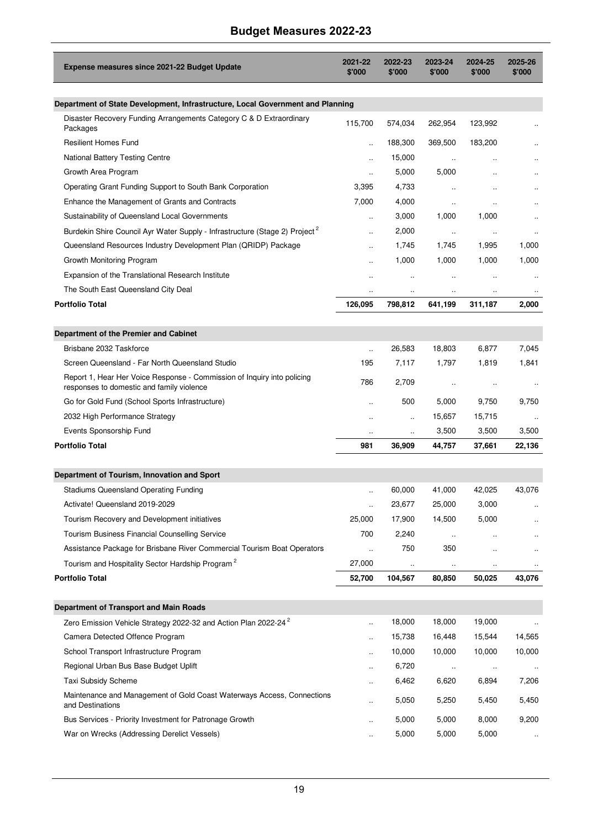| Expense measures since 2021-22 Budget Update                                                                          | 2021-22<br>\$'000          | 2022-23<br>\$'000    | 2023-24<br>\$'000 | 2024-25<br>\$'000    | 2025-26<br>\$'000 |
|-----------------------------------------------------------------------------------------------------------------------|----------------------------|----------------------|-------------------|----------------------|-------------------|
| Department of State Development, Infrastructure, Local Government and Planning                                        |                            |                      |                   |                      |                   |
| Disaster Recovery Funding Arrangements Category C & D Extraordinary<br>Packages                                       | 115,700                    | 574,034              | 262,954           | 123,992              |                   |
| <b>Resilient Homes Fund</b>                                                                                           | $\ddot{\phantom{1}}$       | 188,300              | 369,500           | 183,200              |                   |
| National Battery Testing Centre                                                                                       | ä.                         | 15,000               | $\ddotsc$         | $\ddotsc$            |                   |
| Growth Area Program                                                                                                   |                            | 5,000                | 5,000             |                      |                   |
| Operating Grant Funding Support to South Bank Corporation                                                             | 3,395                      | 4,733                | $\ddotsc$         |                      |                   |
| Enhance the Management of Grants and Contracts                                                                        | 7,000                      | 4,000                | $\ddotsc$         |                      |                   |
| Sustainability of Queensland Local Governments                                                                        | $\ddot{\phantom{a}}$       | 3,000                | 1,000             | 1,000                |                   |
| Burdekin Shire Council Ayr Water Supply - Infrastructure (Stage 2) Project <sup>2</sup>                               |                            | 2,000                | $\ddotsc$         | $\ddot{\phantom{a}}$ |                   |
| Queensland Resources Industry Development Plan (QRIDP) Package                                                        |                            | 1,745                | 1,745             | 1,995                | 1,000             |
| Growth Monitoring Program                                                                                             | $\ddot{\phantom{a}}$       | 1,000                | 1,000             | 1,000                | 1,000             |
| Expansion of the Translational Research Institute                                                                     | $\ddot{\phantom{a}}$       | $\ddot{\phantom{1}}$ | $\ddotsc$         | $\ddotsc$            |                   |
| The South East Queensland City Deal                                                                                   | $\ddot{\phantom{a}}$       | $\ddot{\phantom{a}}$ | $\ldots$          | $\ddot{\phantom{0}}$ |                   |
| <b>Portfolio Total</b>                                                                                                | 126,095                    | 798.812              | 641,199           | 311,187              | 2.000             |
| Department of the Premier and Cabinet                                                                                 |                            |                      |                   |                      |                   |
| Brisbane 2032 Taskforce                                                                                               | u,                         | 26,583               | 18,803            | 6,877                | 7,045             |
| Screen Queensland - Far North Queensland Studio                                                                       | 195                        | 7,117                | 1,797             | 1,819                | 1,841             |
| Report 1, Hear Her Voice Response - Commission of Inquiry into policing<br>responses to domestic and family violence  | 786                        | 2,709                | $\ddotsc$         | $\ddotsc$            | $\ddotsc$         |
| Go for Gold Fund (School Sports Infrastructure)                                                                       | $\ddot{\phantom{a}}$       | 500                  | 5,000             | 9,750                | 9,750             |
| 2032 High Performance Strategy                                                                                        | $\ddot{\phantom{a}}$       | $\ddot{\phantom{a}}$ | 15,657            | 15,715               |                   |
| Events Sponsorship Fund                                                                                               | $\ddotsc$                  | $\ldots$             | 3,500             | 3,500                | 3,500             |
| <b>Portfolio Total</b>                                                                                                | 981                        | 36,909               | 44,757            | 37,661               | 22,136            |
|                                                                                                                       |                            |                      |                   |                      |                   |
| Department of Tourism, Innovation and Sport                                                                           |                            |                      |                   |                      |                   |
| <b>Stadiums Queensland Operating Funding</b>                                                                          | ä.                         | 60,000               | 41,000            | 42,025               | 43,076            |
| Activate! Queensland 2019-2029                                                                                        |                            | 23,677               | 25,000            | 3,000                |                   |
| Tourism Recovery and Development initiatives                                                                          | 25,000                     | 17,900               | 14,500            | 5,000                |                   |
| Tourism Business Financial Counselling Service                                                                        | 700                        | 2,240                | $\ddotsc$         |                      |                   |
| Assistance Package for Brisbane River Commercial Tourism Boat Operators                                               | $\ddotsc$                  | 750                  | 350               |                      |                   |
| Tourism and Hospitality Sector Hardship Program <sup>2</sup>                                                          | 27,000                     | $\ddotsc$            | $\ddotsc$         | $\ddot{\phantom{a}}$ |                   |
| <b>Portfolio Total</b>                                                                                                | 52,700                     | 104,567              | 80,850            | 50,025               | 43.076            |
|                                                                                                                       |                            |                      |                   |                      |                   |
| Department of Transport and Main Roads<br>Zero Emission Vehicle Strategy 2022-32 and Action Plan 2022-24 <sup>2</sup> |                            | 18,000               | 18,000            | 19,000               |                   |
| Camera Detected Offence Program                                                                                       | $\ddot{\phantom{a}}$       | 15,738               | 16,448            | 15,544               | 14,565            |
| School Transport Infrastructure Program                                                                               | $\ddot{\phantom{a}}$       | 10,000               | 10,000            | 10,000               | 10,000            |
|                                                                                                                       | ä,                         |                      |                   |                      |                   |
| Regional Urban Bus Base Budget Uplift<br><b>Taxi Subsidy Scheme</b>                                                   | Ω.                         | 6,720                | $\ddotsc$         | $\ldots$<br>6,894    | $\ldots$<br>7,206 |
| Maintenance and Management of Gold Coast Waterways Access, Connections                                                | Ω.<br>$\ddot{\phantom{a}}$ | 6,462<br>5,050       | 6,620<br>5,250    | 5,450                | 5,450             |
| and Destinations                                                                                                      |                            |                      |                   |                      |                   |
| Bus Services - Priority Investment for Patronage Growth                                                               | Ω.                         | 5,000                | 5,000             | 8,000                | 9,200             |
| War on Wrecks (Addressing Derelict Vessels)                                                                           | $\ddot{\phantom{0}}$       | 5,000                | 5,000             | 5,000                | $\ldots$          |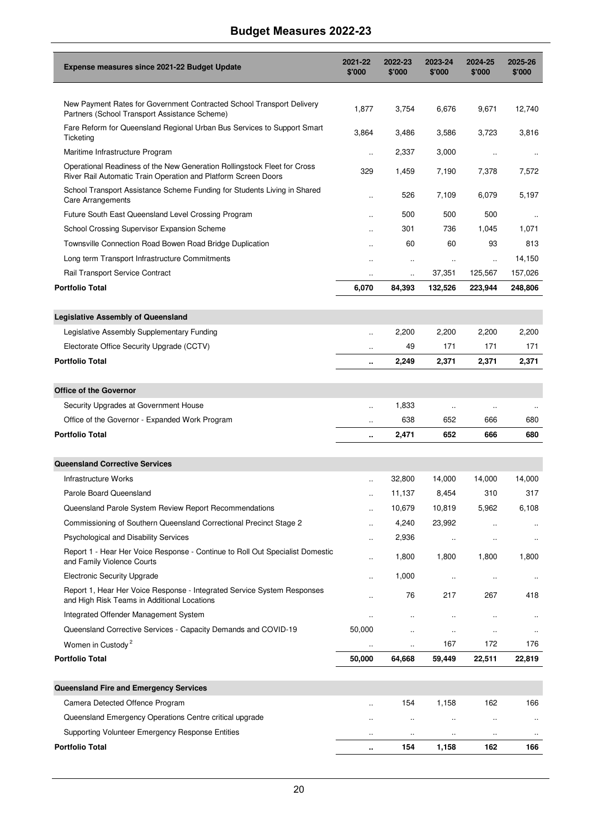| Expense measures since 2021-22 Budget Update                                                                                               | 2021-22<br>\$'000    | 2022-23<br>\$'000    | 2023-24<br>\$'000    | 2024-25<br>\$'000    | 2025-26<br>\$'000 |
|--------------------------------------------------------------------------------------------------------------------------------------------|----------------------|----------------------|----------------------|----------------------|-------------------|
|                                                                                                                                            |                      |                      |                      |                      |                   |
| New Payment Rates for Government Contracted School Transport Delivery<br>Partners (School Transport Assistance Scheme)                     | 1,877                | 3,754                | 6,676                | 9,671                | 12,740            |
| Fare Reform for Queensland Regional Urban Bus Services to Support Smart<br><b>Ticketing</b>                                                | 3,864                | 3,486                | 3,586                | 3,723                | 3,816             |
| Maritime Infrastructure Program                                                                                                            | $\ddot{\phantom{a}}$ | 2,337                | 3,000                | $\ddotsc$            |                   |
| Operational Readiness of the New Generation Rollingstock Fleet for Cross<br>River Rail Automatic Train Operation and Platform Screen Doors | 329                  | 1,459                | 7,190                | 7,378                | 7,572             |
| School Transport Assistance Scheme Funding for Students Living in Shared<br><b>Care Arrangements</b>                                       | $\ddot{\phantom{a}}$ | 526                  | 7,109                | 6,079                | 5,197             |
| Future South East Queensland Level Crossing Program                                                                                        | $\ddot{\phantom{a}}$ | 500                  | 500                  | 500                  |                   |
| School Crossing Supervisor Expansion Scheme                                                                                                | $\ddot{\phantom{a}}$ | 301                  | 736                  | 1,045                | 1,071             |
| Townsville Connection Road Bowen Road Bridge Duplication                                                                                   | $\ddot{\phantom{a}}$ | 60                   | 60                   | 93                   | 813               |
| Long term Transport Infrastructure Commitments                                                                                             |                      | $\ldots$             | $\ldots$             | $\ddotsc$            | 14,150            |
| Rail Transport Service Contract                                                                                                            | $\ddotsc$            | $\ddotsc$            | 37,351               | 125,567              | 157,026           |
| <b>Portfolio Total</b>                                                                                                                     | 6,070                | 84,393               | 132,526              | 223,944              | 248,806           |
| <b>Legislative Assembly of Queensland</b>                                                                                                  |                      |                      |                      |                      |                   |
| Legislative Assembly Supplementary Funding                                                                                                 | ä.                   | 2,200                | 2,200                | 2,200                | 2,200             |
| Electorate Office Security Upgrade (CCTV)                                                                                                  | $\ddot{\phantom{a}}$ | 49                   | 171                  | 171                  | 171               |
| <b>Portfolio Total</b>                                                                                                                     | ٠.                   | 2,249                | 2,371                | 2,371                | 2,371             |
| <b>Office of the Governor</b>                                                                                                              |                      |                      |                      |                      |                   |
| Security Upgrades at Government House                                                                                                      | $\ddot{\phantom{a}}$ | 1,833                | $\ldots$             | $\ddotsc$            |                   |
| Office of the Governor - Expanded Work Program                                                                                             | $\ddot{\phantom{a}}$ | 638                  | 652                  | 666                  | $\ddotsc$<br>680  |
| <b>Portfolio Total</b>                                                                                                                     | ٠.                   | 2,471                | 652                  | 666                  | 680               |
|                                                                                                                                            |                      |                      |                      |                      |                   |
| <b>Queensland Corrective Services</b>                                                                                                      |                      |                      |                      |                      |                   |
| <b>Infrastructure Works</b>                                                                                                                | ä.                   | 32,800               | 14,000               | 14,000               | 14,000            |
| Parole Board Queensland                                                                                                                    |                      | 11,137               | 8,454                | 310                  | 317               |
| Queensland Parole System Review Report Recommendations                                                                                     |                      | 10,679               | 10,819               | 5,962                | 6,108             |
| Commissioning of Southern Queensland Correctional Precinct Stage 2                                                                         | $\ddot{\phantom{a}}$ | 4,240                | 23,992               | $\ddot{\phantom{a}}$ |                   |
| <b>Psychological and Disability Services</b>                                                                                               |                      | 2,936                | $\ddotsc$            | $\ddot{\phantom{a}}$ |                   |
| Report 1 - Hear Her Voice Response - Continue to Roll Out Specialist Domestic<br>and Family Violence Courts                                |                      | 1,800                | 1,800                | 1,800                | 1,800             |
| <b>Electronic Security Upgrade</b>                                                                                                         | $\ddot{\phantom{a}}$ | 1,000                | $\ddot{\phantom{a}}$ | Ω.                   |                   |
| Report 1, Hear Her Voice Response - Integrated Service System Responses<br>and High Risk Teams in Additional Locations                     |                      |                      | 217                  | 267                  | 418               |
| Integrated Offender Management System                                                                                                      | $\ddotsc$            |                      | $\ddot{\phantom{0}}$ |                      |                   |
| Queensland Corrective Services - Capacity Demands and COVID-19                                                                             | 50,000               |                      | $\ddot{\phantom{0}}$ | $\ddot{\phantom{0}}$ |                   |
| Women in Custody <sup>2</sup>                                                                                                              | $\ddot{\phantom{0}}$ | $\ddot{\phantom{0}}$ | 167                  | 172                  | 176               |
| <b>Portfolio Total</b>                                                                                                                     | 50,000               | 64,668               | 59,449               | 22,511               | 22,819            |
| Queensland Fire and Emergency Services                                                                                                     |                      |                      |                      |                      |                   |
| Camera Detected Offence Program                                                                                                            | $\ddotsc$            | 154                  | 1,158                | 162                  | 166               |
| Queensland Emergency Operations Centre critical upgrade                                                                                    | $\ddot{\phantom{a}}$ | $\ddotsc$            | $\ldots$             | $\ddotsc$            | $\ddotsc$         |
| Supporting Volunteer Emergency Response Entities                                                                                           |                      | $\ddotsc$            | $\ddotsc$            | $\ldots$             | $\cdot\cdot$      |
| <b>Portfolio Total</b>                                                                                                                     |                      | 154                  | 1,158                | 162                  | 166               |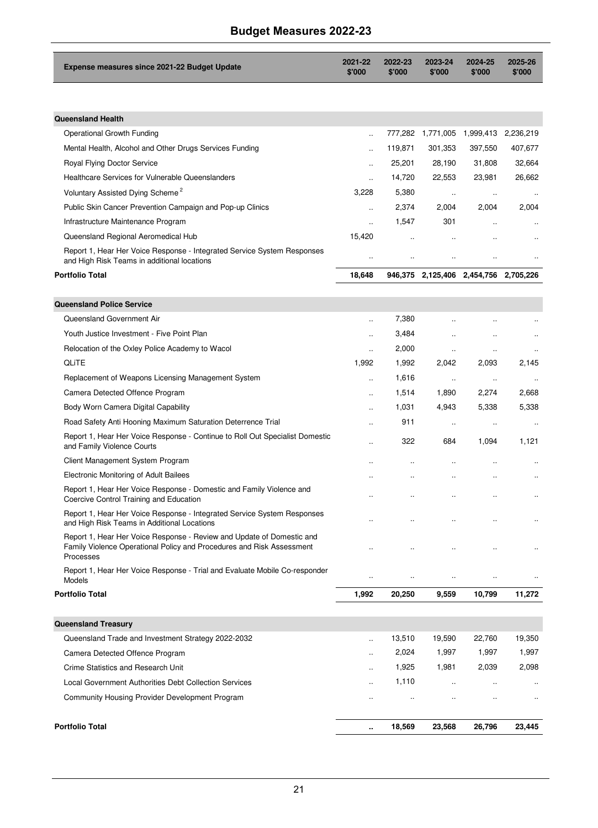| Expense measures since 2021-22 Budget Update                                                                                                                | 2021-22<br>\$'000    | 2022-23<br>\$'000    | 2023-24<br>\$'000    | 2024-25<br>\$'000                     | 2025-26<br>\$'000    |
|-------------------------------------------------------------------------------------------------------------------------------------------------------------|----------------------|----------------------|----------------------|---------------------------------------|----------------------|
|                                                                                                                                                             |                      |                      |                      |                                       |                      |
| <b>Queensland Health</b>                                                                                                                                    |                      |                      |                      |                                       |                      |
| Operational Growth Funding                                                                                                                                  |                      |                      |                      | 777,282 1,771,005 1,999,413 2,236,219 |                      |
| Mental Health, Alcohol and Other Drugs Services Funding                                                                                                     |                      | 119,871              | 301,353              | 397,550                               | 407,677              |
| Royal Flying Doctor Service                                                                                                                                 | $\ddot{\phantom{a}}$ | 25,201               | 28,190               | 31,808                                | 32,664               |
| Healthcare Services for Vulnerable Queenslanders                                                                                                            | $\ddot{\phantom{a}}$ | 14,720               | 22,553               | 23,981                                | 26,662               |
| Voluntary Assisted Dying Scheme <sup>2</sup>                                                                                                                | 3,228                | 5,380                | $\ddotsc$            | $\ddotsc$                             | $\ddot{\phantom{a}}$ |
| Public Skin Cancer Prevention Campaign and Pop-up Clinics                                                                                                   | ä,                   | 2,374                | 2,004                | 2,004                                 | 2,004                |
| Infrastructure Maintenance Program                                                                                                                          | $\ddot{\phantom{a}}$ | 1,547                | 301                  | $\ddot{\phantom{a}}$                  |                      |
| Queensland Regional Aeromedical Hub                                                                                                                         | 15,420               | $\ddot{\phantom{a}}$ |                      |                                       |                      |
| Report 1, Hear Her Voice Response - Integrated Service System Responses<br>and High Risk Teams in additional locations                                      | $\ddot{\phantom{a}}$ | $\ddot{\phantom{a}}$ | $\ddot{\phantom{a}}$ |                                       |                      |
| <b>Portfolio Total</b>                                                                                                                                      | 18,648               |                      |                      | 946,375 2,125,406 2,454,756 2,705,226 |                      |
|                                                                                                                                                             |                      |                      |                      |                                       |                      |
| <b>Queensland Police Service</b>                                                                                                                            |                      |                      |                      |                                       |                      |
| Queensland Government Air                                                                                                                                   |                      | 7,380                |                      |                                       |                      |
| Youth Justice Investment - Five Point Plan                                                                                                                  |                      | 3,484                |                      | $\ddot{\phantom{a}}$                  |                      |
| Relocation of the Oxley Police Academy to Wacol                                                                                                             | ä,                   | 2,000                | $\ddot{\phantom{a}}$ | $\ddot{\phantom{0}}$                  |                      |
| <b>QLITE</b>                                                                                                                                                | 1,992                | 1,992                | 2,042                | 2,093                                 | 2,145                |
| Replacement of Weapons Licensing Management System                                                                                                          |                      | 1,616                | $\ddot{\phantom{a}}$ | $\ddot{\phantom{a}}$                  |                      |
| Camera Detected Offence Program                                                                                                                             | $\ddot{\phantom{a}}$ | 1,514                | 1,890                | 2,274                                 | 2,668                |
| Body Worn Camera Digital Capability                                                                                                                         | $\ddot{\phantom{a}}$ | 1,031                | 4,943                | 5,338                                 | 5,338                |
| Road Safety Anti Hooning Maximum Saturation Deterrence Trial                                                                                                | $\ddot{\phantom{a}}$ | 911                  | $\ldots$             | $\ddotsc$                             |                      |
| Report 1, Hear Her Voice Response - Continue to Roll Out Specialist Domestic<br>and Family Violence Courts                                                  |                      | 322                  | 684                  | 1,094                                 | 1,121                |
| Client Management System Program                                                                                                                            |                      | ä,                   | $\ddotsc$            | $\ddotsc$                             | $\ddot{\phantom{a}}$ |
| Electronic Monitoring of Adult Bailees                                                                                                                      |                      |                      |                      |                                       |                      |
| Report 1, Hear Her Voice Response - Domestic and Family Violence and<br>Coercive Control Training and Education                                             |                      |                      | $\ddot{\phantom{a}}$ | $\ddot{\phantom{0}}$                  |                      |
| Report 1, Hear Her Voice Response - Integrated Service System Responses<br>and High Risk Teams in Additional Locations                                      |                      |                      | $\ddot{\phantom{a}}$ | $\ddot{\phantom{0}}$                  |                      |
| Report 1, Hear Her Voice Response - Review and Update of Domestic and<br>Family Violence Operational Policy and Procedures and Risk Assessment<br>Processes |                      |                      |                      |                                       |                      |
| Report 1, Hear Her Voice Response - Trial and Evaluate Mobile Co-responder<br>Models                                                                        |                      |                      | Ω.                   |                                       |                      |
| <b>Portfolio Total</b>                                                                                                                                      | 1,992                | 20,250               | 9,559                | 10,799                                | 11,272               |
|                                                                                                                                                             |                      |                      |                      |                                       |                      |
| <b>Queensland Treasury</b>                                                                                                                                  |                      |                      |                      |                                       |                      |
| Queensland Trade and Investment Strategy 2022-2032                                                                                                          | ä,                   | 13,510               | 19,590               | 22,760                                | 19,350               |
| Camera Detected Offence Program                                                                                                                             | $\ddot{\phantom{a}}$ | 2,024                | 1,997                | 1,997                                 | 1,997                |
| Crime Statistics and Research Unit                                                                                                                          | и.                   | 1,925                | 1,981                | 2,039                                 | 2,098                |
| Local Government Authorities Debt Collection Services                                                                                                       | $\ddot{\phantom{a}}$ | 1,110                | $\ddotsc$            | $\ddotsc$                             | $\ddotsc$            |
| Community Housing Provider Development Program                                                                                                              |                      | $\ddot{\phantom{0}}$ | $\ddot{\phantom{0}}$ | $\ddot{\phantom{a}}$                  | $\ddotsc$            |
| <b>Portfolio Total</b>                                                                                                                                      | ٠.                   | 18,569               | 23,568               | 26,796                                | 23,445               |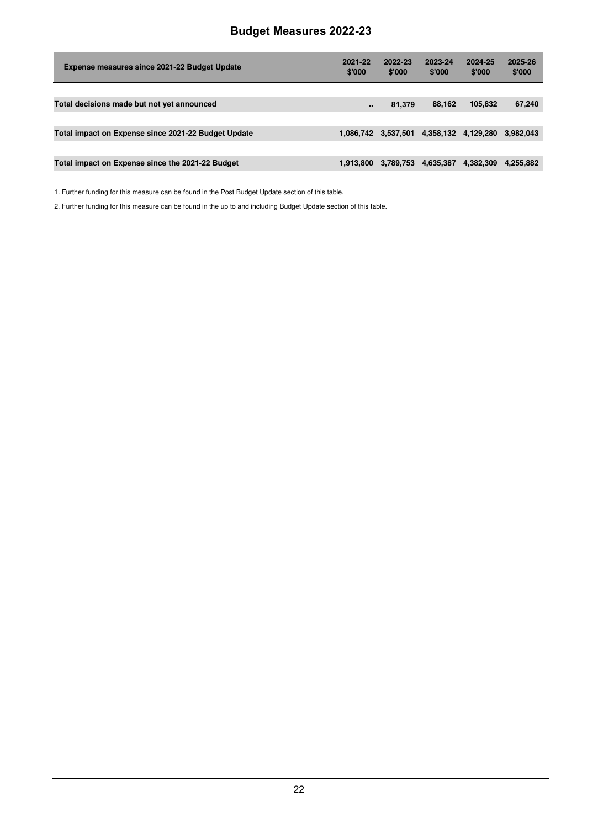| Expense measures since 2021-22 Budget Update        | 2021-22<br>\$'000 | 2022-23<br>\$'000 | 2023-24<br>\$'000   | 2024-25<br>\$'000 | 2025-26<br>\$'000 |
|-----------------------------------------------------|-------------------|-------------------|---------------------|-------------------|-------------------|
|                                                     |                   |                   |                     |                   |                   |
| Total decisions made but not yet announced          |                   | 81.379            | 88,162              | 105.832           | 67,240            |
|                                                     |                   |                   |                     |                   |                   |
| Total impact on Expense since 2021-22 Budget Update | 1.086.742         | 3,537,501         | 4,358,132 4,129,280 |                   | 3,982,043         |
|                                                     |                   |                   |                     |                   |                   |
| Total impact on Expense since the 2021-22 Budget    | 1.913.800         | 3,789,753         | 4,635,387           | 4,382,309         | 4.255.882         |

1. Further funding for this measure can be found in the Post Budget Update section of this table.

2. Further funding for this measure can be found in the up to and including Budget Update section of this table.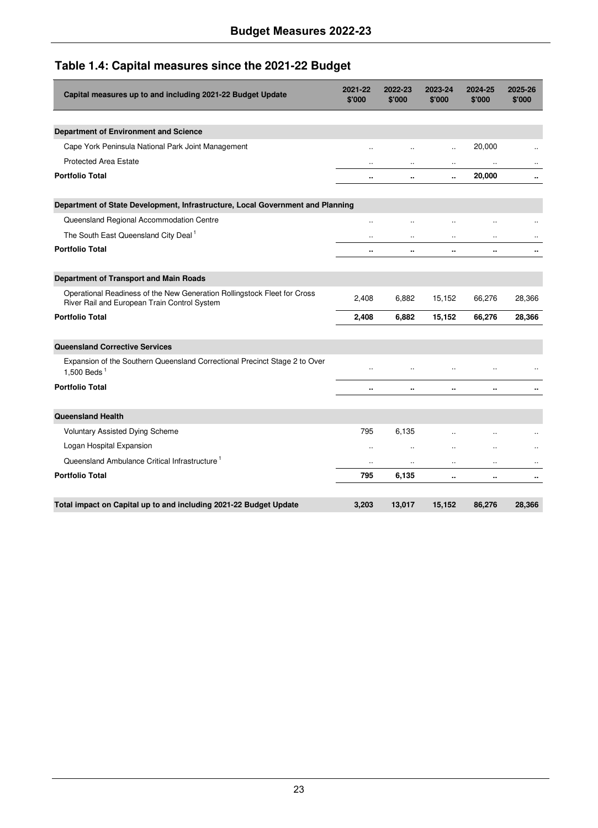## **Table 1.4: Capital measures since the 2021-22 Budget**

| Capital measures up to and including 2021-22 Budget Update                                                               | 2021-22<br>\$'000    | 2022-23<br>\$'000    | 2023-24<br>\$'000    | 2024-25<br>\$'000    | 2025-26<br>\$'000    |
|--------------------------------------------------------------------------------------------------------------------------|----------------------|----------------------|----------------------|----------------------|----------------------|
|                                                                                                                          |                      |                      |                      |                      |                      |
| Department of Environment and Science                                                                                    |                      |                      |                      |                      |                      |
| Cape York Peninsula National Park Joint Management                                                                       | $\ddot{\phantom{a}}$ |                      | $\ddot{\phantom{a}}$ | 20,000               |                      |
| <b>Protected Area Estate</b>                                                                                             | $\ddot{\phantom{0}}$ |                      |                      | $\ddot{\phantom{a}}$ |                      |
| <b>Portfolio Total</b>                                                                                                   |                      |                      |                      | 20,000               | $\ddot{\phantom{a}}$ |
| Department of State Development, Infrastructure, Local Government and Planning                                           |                      |                      |                      |                      |                      |
| Queensland Regional Accommodation Centre                                                                                 |                      |                      |                      | $\ddot{\phantom{a}}$ |                      |
| The South East Queensland City Deal <sup>1</sup>                                                                         | $\ddot{\phantom{a}}$ |                      |                      | $\ddot{\phantom{a}}$ |                      |
| <b>Portfolio Total</b>                                                                                                   |                      |                      |                      |                      |                      |
| Department of Transport and Main Roads                                                                                   |                      |                      |                      |                      |                      |
| Operational Readiness of the New Generation Rollingstock Fleet for Cross<br>River Rail and European Train Control System | 2,408                | 6,882                | 15,152               | 66,276               | 28,366               |
| <b>Portfolio Total</b>                                                                                                   | 2.408                | 6,882                | 15,152               | 66,276               | 28,366               |
| <b>Queensland Corrective Services</b>                                                                                    |                      |                      |                      |                      |                      |
| Expansion of the Southern Queensland Correctional Precinct Stage 2 to Over<br>1.500 Beds $1$                             |                      |                      |                      |                      |                      |
| <b>Portfolio Total</b>                                                                                                   | ٠.                   | ٠.                   |                      | ٠.                   |                      |
| <b>Queensland Health</b>                                                                                                 |                      |                      |                      |                      |                      |
| Voluntary Assisted Dying Scheme                                                                                          | 795                  | 6.135                | $\ddot{\phantom{a}}$ | $\ddot{\phantom{a}}$ |                      |
| Logan Hospital Expansion                                                                                                 | $\ddot{\phantom{0}}$ | $\ddot{\phantom{a}}$ |                      | $\ddotsc$            |                      |
| Queensland Ambulance Critical Infrastructure <sup>1</sup>                                                                | $\ddot{\phantom{a}}$ |                      |                      |                      |                      |
| <b>Portfolio Total</b>                                                                                                   | 795                  | 6,135                |                      |                      |                      |
|                                                                                                                          |                      |                      |                      |                      |                      |
| Total impact on Capital up to and including 2021-22 Budget Update                                                        | 3,203                | 13,017               | 15,152               | 86,276               | 28,366               |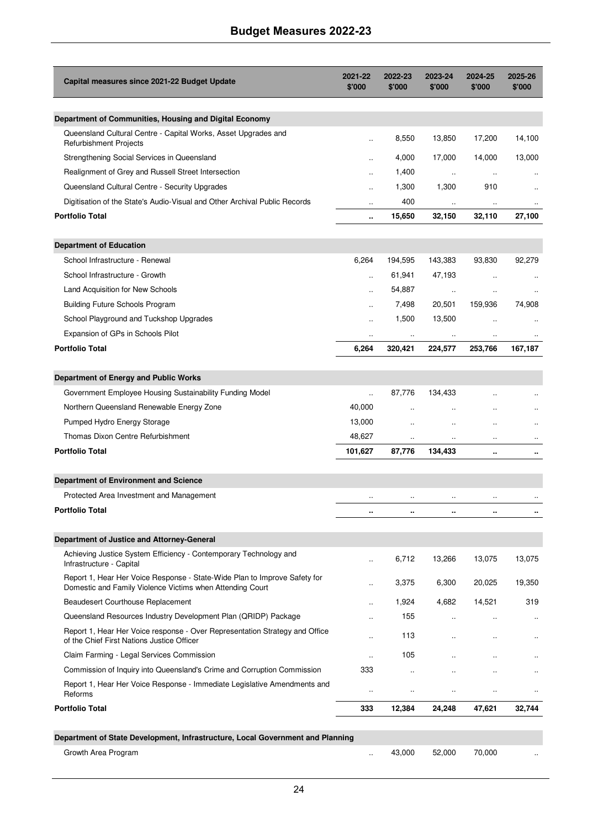| Capital measures since 2021-22 Budget Update                                                                                           | 2021-22<br>\$'000    | 2022-23<br>\$'000    | 2023-24<br>\$'000    | 2024-25<br>\$'000    | 2025-26<br>\$'000 |
|----------------------------------------------------------------------------------------------------------------------------------------|----------------------|----------------------|----------------------|----------------------|-------------------|
|                                                                                                                                        |                      |                      |                      |                      |                   |
| Department of Communities, Housing and Digital Economy<br>Queensland Cultural Centre - Capital Works, Asset Upgrades and               |                      |                      |                      |                      |                   |
| <b>Refurbishment Projects</b>                                                                                                          | ÷.                   | 8,550                | 13,850               | 17,200               | 14,100            |
| Strengthening Social Services in Queensland                                                                                            |                      | 4,000                | 17,000               | 14,000               | 13,000            |
| Realignment of Grey and Russell Street Intersection                                                                                    | $\ddot{\phantom{a}}$ | 1,400                | $\ldots$             | $\ldots$             |                   |
| Queensland Cultural Centre - Security Upgrades                                                                                         | $\ddot{\phantom{a}}$ | 1,300                | 1,300                | 910                  |                   |
| Digitisation of the State's Audio-Visual and Other Archival Public Records                                                             | $\ddotsc$            | 400                  | $\ldots$             | $\ldots$             |                   |
| <b>Portfolio Total</b>                                                                                                                 | ٠.                   | 15,650               | 32,150               | 32,110               | 27,100            |
| <b>Department of Education</b>                                                                                                         |                      |                      |                      |                      |                   |
| School Infrastructure - Renewal                                                                                                        | 6,264                | 194,595              | 143,383              | 93,830               | 92,279            |
| School Infrastructure - Growth                                                                                                         | $\ddot{\phantom{a}}$ | 61,941               | 47,193               | $\ddotsc$            |                   |
| Land Acquisition for New Schools                                                                                                       | $\ddot{\phantom{a}}$ | 54,887               | $\ldots$             | $\ddotsc$            |                   |
| <b>Building Future Schools Program</b>                                                                                                 |                      | 7,498                | 20,501               | 159,936              | 74,908            |
| School Playground and Tuckshop Upgrades                                                                                                |                      | 1,500                | 13,500               | $\ddotsc$            |                   |
| Expansion of GPs in Schools Pilot                                                                                                      | ÷.                   |                      |                      |                      |                   |
| <b>Portfolio Total</b>                                                                                                                 | 6,264                | 320,421              | 224,577              | 253,766              | 167,187           |
|                                                                                                                                        |                      |                      |                      |                      |                   |
| Department of Energy and Public Works                                                                                                  |                      |                      |                      |                      |                   |
| Government Employee Housing Sustainability Funding Model                                                                               | $\ddot{\phantom{a}}$ | 87,776               | 134,433              | $\ddot{\phantom{a}}$ |                   |
| Northern Queensland Renewable Energy Zone                                                                                              | 40,000               | $\ddot{\phantom{a}}$ | $\ddot{\phantom{a}}$ | $\ddot{\phantom{a}}$ |                   |
| Pumped Hydro Energy Storage                                                                                                            | 13,000               | $\ddot{\phantom{a}}$ | $\ddot{\phantom{0}}$ | $\ddot{\phantom{a}}$ |                   |
| Thomas Dixon Centre Refurbishment                                                                                                      | 48,627               |                      |                      |                      |                   |
| <b>Portfolio Total</b>                                                                                                                 | 101,627              | 87,776               | 134,433              | ٠.                   |                   |
| Department of Environment and Science                                                                                                  |                      |                      |                      |                      |                   |
| Protected Area Investment and Management                                                                                               | $\ldots$             |                      | $\ldots$             | $\ddotsc$            | $\ldots$          |
| <b>Portfolio Total</b>                                                                                                                 | $\ddot{\phantom{a}}$ |                      | $\ddotsc$            |                      | ٠.                |
|                                                                                                                                        |                      |                      |                      |                      |                   |
| Department of Justice and Attorney-General                                                                                             |                      |                      |                      |                      |                   |
| Achieving Justice System Efficiency - Contemporary Technology and<br>Infrastructure - Capital                                          |                      | 6,712                | 13,266               | 13,075               | 13,075            |
| Report 1, Hear Her Voice Response - State-Wide Plan to Improve Safety for<br>Domestic and Family Violence Victims when Attending Court |                      | 3,375                | 6,300                | 20,025               | 19,350            |
| <b>Beaudesert Courthouse Replacement</b>                                                                                               | $\sim$               | 1,924                | 4,682                | 14,521               | 319               |
| Queensland Resources Industry Development Plan (QRIDP) Package                                                                         | $\ddot{\phantom{a}}$ | 155                  |                      |                      |                   |
| Report 1, Hear Her Voice response - Over Representation Strategy and Office<br>of the Chief First Nations Justice Officer              | $\ddot{\phantom{a}}$ | 113                  | $\ddot{\phantom{a}}$ |                      |                   |
| Claim Farming - Legal Services Commission                                                                                              | $\ldots$             | 105                  | $\ddotsc$            | ٠.                   | ä.                |
| Commission of Inquiry into Queensland's Crime and Corruption Commission                                                                | 333                  |                      |                      |                      |                   |
| Report 1, Hear Her Voice Response - Immediate Legislative Amendments and<br>Reforms                                                    | $\ldots$             | $\ddot{\phantom{a}}$ | $\ddot{\phantom{0}}$ | ٠.                   | $\ddotsc$         |
| <b>Portfolio Total</b>                                                                                                                 | 333                  | 12,384               | 24,248               | 47,621               | 32,744            |
|                                                                                                                                        |                      |                      |                      |                      |                   |
| Department of State Development, Infrastructure, Local Government and Planning<br>Growth Area Program                                  |                      |                      |                      |                      |                   |
|                                                                                                                                        |                      | 43,000               | 52,000               | 70,000               |                   |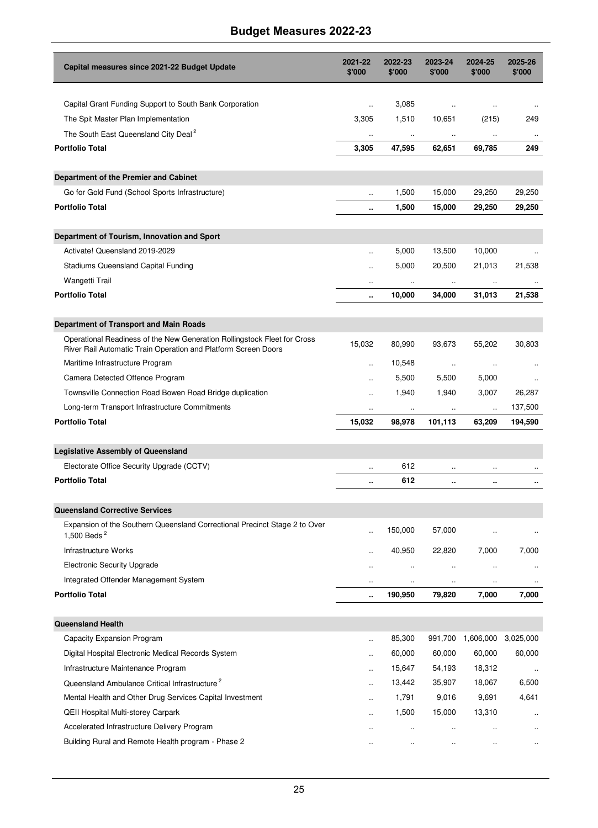| Capital measures since 2021-22 Budget Update                                                                                               | 2021-22<br>\$'000    | 2022-23<br>\$'000    | 2023-24<br>\$'000    | 2024-25<br>\$'000    | 2025-26<br>\$'000    |
|--------------------------------------------------------------------------------------------------------------------------------------------|----------------------|----------------------|----------------------|----------------------|----------------------|
|                                                                                                                                            |                      |                      |                      |                      |                      |
| Capital Grant Funding Support to South Bank Corporation                                                                                    | $\ddot{\phantom{a}}$ | 3,085                | $\ddotsc$            | ٠.                   |                      |
| The Spit Master Plan Implementation                                                                                                        | 3,305                | 1,510                | 10,651               | (215)                | 249                  |
| The South East Queensland City Deal <sup>2</sup><br><b>Portfolio Total</b>                                                                 | 3,305                | 47,595               | 62,651               | 69,785               | 249                  |
|                                                                                                                                            |                      |                      |                      |                      |                      |
| Department of the Premier and Cabinet                                                                                                      |                      |                      |                      |                      |                      |
| Go for Gold Fund (School Sports Infrastructure)                                                                                            | $\ddot{\phantom{a}}$ | 1,500                | 15,000               | 29,250               | 29,250               |
| <b>Portfolio Total</b>                                                                                                                     | ٠.                   | 1,500                | 15,000               | 29,250               | 29,250               |
| Department of Tourism, Innovation and Sport                                                                                                |                      |                      |                      |                      |                      |
| Activate! Queensland 2019-2029                                                                                                             |                      | 5,000                | 13,500               | 10,000               |                      |
| Stadiums Queensland Capital Funding                                                                                                        |                      | 5,000                | 20,500               | 21,013               | 21,538               |
| Wangetti Trail                                                                                                                             |                      | $\ldots$             | $\ldots$             | $\ddot{\phantom{0}}$ |                      |
| <b>Portfolio Total</b>                                                                                                                     |                      | 10,000               | 34,000               | 31,013               | 21,538               |
|                                                                                                                                            |                      |                      |                      |                      |                      |
| Department of Transport and Main Roads                                                                                                     |                      |                      |                      |                      |                      |
| Operational Readiness of the New Generation Rollingstock Fleet for Cross<br>River Rail Automatic Train Operation and Platform Screen Doors | 15,032               | 80,990               | 93,673               | 55,202               | 30,803               |
| Maritime Infrastructure Program                                                                                                            | $\ddot{\phantom{a}}$ | 10,548               | $\ldots$             | $\ldots$             |                      |
| Camera Detected Offence Program                                                                                                            | $\ddot{\phantom{a}}$ | 5,500                | 5,500                | 5,000                |                      |
| Townsville Connection Road Bowen Road Bridge duplication                                                                                   | $\ddot{\phantom{a}}$ | 1,940                | 1,940                | 3,007                | 26,287               |
| Long-term Transport Infrastructure Commitments                                                                                             | $\ddot{\phantom{0}}$ | $\ldots$             | $\cdot$              | $\ddot{\phantom{0}}$ | 137,500              |
| <b>Portfolio Total</b>                                                                                                                     | 15,032               | 98,978               | 101,113              | 63,209               | 194,590              |
| <b>Legislative Assembly of Queensland</b>                                                                                                  |                      |                      |                      |                      |                      |
| Electorate Office Security Upgrade (CCTV)                                                                                                  |                      | 612                  | $\ddotsc$            |                      |                      |
| <b>Portfolio Total</b>                                                                                                                     |                      | 612                  |                      |                      | ٠.                   |
|                                                                                                                                            |                      |                      |                      |                      |                      |
| <b>Queensland Corrective Services</b><br>Expansion of the Southern Queensland Correctional Precinct Stage 2 to Over                        |                      |                      |                      |                      |                      |
| 1,500 Beds $^2$                                                                                                                            | ä,                   | 150,000              | 57,000               |                      |                      |
| Infrastructure Works                                                                                                                       | $\ddot{\phantom{a}}$ | 40,950               | 22,820               | 7,000                | 7,000                |
| <b>Electronic Security Upgrade</b>                                                                                                         | $\ddot{\phantom{a}}$ | $\ddot{\phantom{a}}$ | $\ddotsc$            | $\ddot{\phantom{a}}$ |                      |
| Integrated Offender Management System                                                                                                      | $\ddot{\phantom{a}}$ | $\ddot{\phantom{a}}$ | $\ddotsc$            | $\ddot{\phantom{a}}$ |                      |
| <b>Portfolio Total</b>                                                                                                                     |                      | 190,950              | 79,820               | 7,000                | 7,000                |
| <b>Queensland Health</b>                                                                                                                   |                      |                      |                      |                      |                      |
| Capacity Expansion Program                                                                                                                 |                      | 85,300               |                      | 991,700 1,606,000    | 3,025,000            |
| Digital Hospital Electronic Medical Records System                                                                                         |                      | 60,000               | 60,000               | 60,000               | 60,000               |
| Infrastructure Maintenance Program                                                                                                         |                      | 15,647               | 54,193               | 18,312               | $\ldots$             |
| Queensland Ambulance Critical Infrastructure <sup>2</sup>                                                                                  |                      | 13,442               | 35,907               | 18,067               | 6,500                |
| Mental Health and Other Drug Services Capital Investment                                                                                   | ä,                   | 1,791                | 9,016                | 9,691                | 4,641                |
| <b>QEII Hospital Multi-storey Carpark</b>                                                                                                  | $\ddot{\phantom{a}}$ | 1,500                | 15,000               | 13,310               | $\ddot{\phantom{a}}$ |
| Accelerated Infrastructure Delivery Program                                                                                                | ٠.                   | $\ddot{\phantom{1}}$ | $\ddotsc$            |                      | $\ddotsc$            |
| Building Rural and Remote Health program - Phase 2                                                                                         |                      |                      | $\ddot{\phantom{0}}$ |                      | $\ddotsc$            |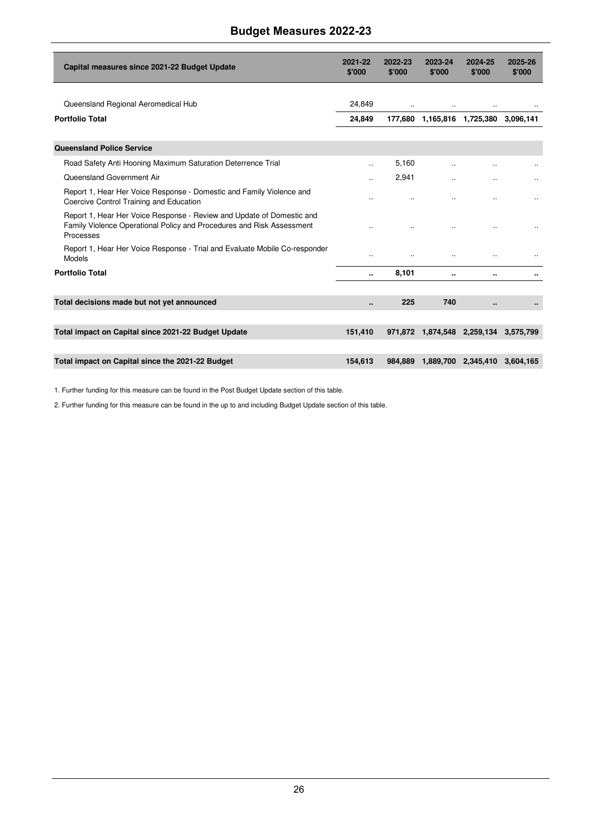| Capital measures since 2021-22 Budget Update                                                                                                                | 2021-22<br>\$'000    | 2022-23<br>\$'000 | 2023-24<br>\$'000 | 2024-25<br>\$'000                     | 2025-26<br>\$'000 |
|-------------------------------------------------------------------------------------------------------------------------------------------------------------|----------------------|-------------------|-------------------|---------------------------------------|-------------------|
| Queensland Regional Aeromedical Hub                                                                                                                         | 24.849               | $\ddotsc$         | $\ddotsc$         | $\ddotsc$                             |                   |
| <b>Portfolio Total</b>                                                                                                                                      | 24,849               |                   |                   | 177,680 1,165,816 1,725,380 3,096,141 |                   |
| <b>Queensland Police Service</b>                                                                                                                            |                      |                   |                   |                                       |                   |
| Road Safety Anti Hooning Maximum Saturation Deterrence Trial                                                                                                | $\ddot{\phantom{a}}$ | 5,160             |                   |                                       |                   |
| Queensland Government Air                                                                                                                                   |                      | 2,941             |                   |                                       |                   |
| Report 1, Hear Her Voice Response - Domestic and Family Violence and<br>Coercive Control Training and Education                                             |                      |                   |                   |                                       | $\ddotsc$         |
| Report 1, Hear Her Voice Response - Review and Update of Domestic and<br>Family Violence Operational Policy and Procedures and Risk Assessment<br>Processes |                      |                   |                   |                                       |                   |
| Report 1, Hear Her Voice Response - Trial and Evaluate Mobile Co-responder<br>Models                                                                        | $\ddot{\phantom{a}}$ | $\ddotsc$         | $\ddotsc$         |                                       |                   |
| <b>Portfolio Total</b>                                                                                                                                      | ٠.                   | 8,101             |                   |                                       |                   |
| Total decisions made but not yet announced                                                                                                                  |                      | 225               | 740               |                                       |                   |
|                                                                                                                                                             |                      |                   |                   |                                       |                   |
| Total impact on Capital since 2021-22 Budget Update                                                                                                         | 151,410              |                   |                   | 971,872 1,874,548 2,259,134           | 3,575,799         |
| Total impact on Capital since the 2021-22 Budget                                                                                                            | 154.613              |                   |                   | 984,889 1,889,700 2,345,410           | 3.604.165         |

1. Further funding for this measure can be found in the Post Budget Update section of this table.

2. Further funding for this measure can be found in the up to and including Budget Update section of this table.